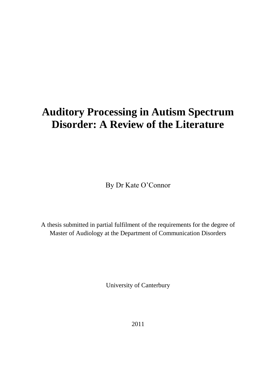# **Auditory Processing in Autism Spectrum Disorder: A Review of the Literature**

By Dr Kate O'Connor

A thesis submitted in partial fulfilment of the requirements for the degree of Master of Audiology at the Department of Communication Disorders

University of Canterbury

2011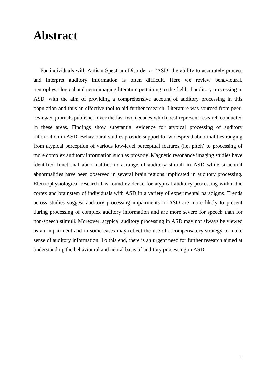### **Abstract**

 For individuals with Autism Spectrum Disorder or ‗ASD' the ability to accurately process and interpret auditory information is often difficult. Here we review behavioural, neurophysiological and neuroimaging literature pertaining to the field of auditory processing in ASD, with the aim of providing a comprehensive account of auditory processing in this population and thus an effective tool to aid further research. Literature was sourced from peerreviewed journals published over the last two decades which best represent research conducted in these areas. Findings show substantial evidence for atypical processing of auditory information in ASD. Behavioural studies provide support for widespread abnormalities ranging from atypical perception of various low-level perceptual features (i.e. pitch) to processing of more complex auditory information such as prosody. Magnetic resonance imaging studies have identified functional abnormalities to a range of auditory stimuli in ASD while structural abnormalities have been observed in several brain regions implicated in auditory processing. Electrophysiological research has found evidence for atypical auditory processing within the cortex and brainstem of individuals with ASD in a variety of experimental paradigms. Trends across studies suggest auditory processing impairments in ASD are more likely to present during processing of complex auditory information and are more severe for speech than for non-speech stimuli. Moreover, atypical auditory processing in ASD may not always be viewed as an impairment and in some cases may reflect the use of a compensatory strategy to make sense of auditory information. To this end, there is an urgent need for further research aimed at understanding the behavioural and neural basis of auditory processing in ASD.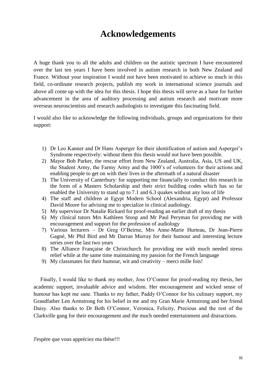### **Acknowledgements**

A huge thank you to all the adults and children on the autistic spectrum I have encountered over the last ten years I have been involved in autism research in both New Zealand and France. Without your inspiration I would not have been motivated to achieve so much in this field, co-ordinate research projects, publish my work in international science journals and above all come up with the idea for this thesis. I hope this thesis will serve as a base for further advancement in the area of auditory processing and autism research and motivate more overseas neuroscientists and research audiologists to investigate this fascinating field.

I would also like to acknowledge the following individuals, groups and organizations for their support:

- 1) Dr Leo Kanner and Dr Hans Asperger for their identification of autism and Asperger's Syndrome respectively: without them this thesis would not have been possible.
- 2) Mayor Bob Parker, the rescue effort from New Zealand, Australia, Asia, US and UK, the Student Army, the Farmy Army and the 1000's of volunteers for their actions and enabling people to get on with their lives in the aftermath of a natural disaster
- 3) The University of Canterbury: for supporting me financially to conduct this research in the form of a Masters Scholarship and their strict building codes which has so far enabled the University to stand up to 7.1 and 6.3 quakes without any loss of life
- 4) The staff and children at Egypt Modern School (Alexandria, Egypt) and Professor David Moore for advising me to specialize in clinical audiology.
- 5) My supervisor Dr Natalie Rickard for proof-reading an earlier draft of my thesis
- 6) My clinical tutors Mrs Kathleen Stoop and Mr Paul Peryman for providing me with encouragement and support for the profession of audiology
- 7) Various lecturers Dr Greg O'Beirne, Mrs Anne-Marie Hurteau, Dr Jean-Pierre Gagné, Mr Phil Bird and Mr Darran Murray for their humour and interesting lecture series over the last two years
- 8) The Alliance Française de Christchurch for providing me with much needed stress relief while at the same time maintaining my passion for the French language
- 9) My classmates for their humour, wit and creativity merci mille fois!

 Finally, I would like to thank my mother, Joss O'Connor for proof-reading my thesis, her academic support, invaluable advice and wisdom. Her encouragement and wicked sense of humour has kept me sane. Thanks to my father, Paddy O'Connor for his culinary support, my Grandfather Len Armstrong for his belief in me and my Gran Marie Armstrong and her friend Daisy. Also thanks to Dr Beth O'Connor, Veronica, Felicity, Precious and the rest of the Clarkville gang for their encouragement and the much needed entertainment and distractions.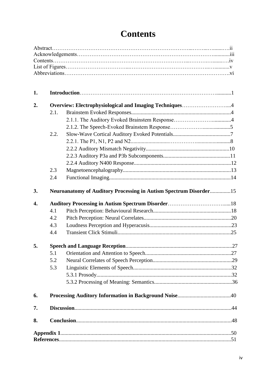| 1. |      |                                                                          |  |
|----|------|--------------------------------------------------------------------------|--|
| 2. |      | Overview: Electrophysiological and Imaging Techniques4                   |  |
|    | 2.1. |                                                                          |  |
|    |      |                                                                          |  |
|    |      |                                                                          |  |
|    | 2.2. |                                                                          |  |
|    |      |                                                                          |  |
|    |      |                                                                          |  |
|    |      |                                                                          |  |
|    |      |                                                                          |  |
|    | 2.3  |                                                                          |  |
|    | 2.4  |                                                                          |  |
| 3. |      | <b>Neuroanatomy of Auditory Processing in Autism Spectrum Disorder15</b> |  |
| 4. |      |                                                                          |  |
|    | 4.1  |                                                                          |  |
|    | 4.2  |                                                                          |  |
|    | 4.3  |                                                                          |  |
|    | 4.4  |                                                                          |  |
| 5. |      |                                                                          |  |
|    | 5.1  |                                                                          |  |
|    | 5.2  |                                                                          |  |
|    | 5.3  |                                                                          |  |
|    |      |                                                                          |  |
|    |      |                                                                          |  |
| 6. |      |                                                                          |  |
| 7. |      |                                                                          |  |
| 8. |      |                                                                          |  |
|    |      |                                                                          |  |
|    |      |                                                                          |  |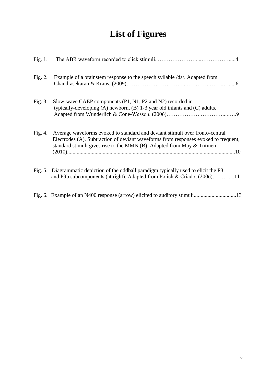# **List of Figures**

| Fig. $1$ . |                                                                                                                                                                                                                                                              |
|------------|--------------------------------------------------------------------------------------------------------------------------------------------------------------------------------------------------------------------------------------------------------------|
| Fig. $2$ . | Example of a brainstem response to the speech syllable /da/. Adapted from                                                                                                                                                                                    |
| Fig. 3.    | Slow-wave CAEP components (P1, N1, P2 and N2) recorded in<br>typically-developing $(A)$ newborn, $(B)$ 1-3 year old infants and $(C)$ adults.                                                                                                                |
|            | Fig. 4. Average waveforms evoked to standard and deviant stimuli over fronto-central<br>Electrodes (A). Subtraction of deviant waveforms from responses evoked to frequent,<br>standard stimuli gives rise to the MMN $(B)$ . Adapted from May $\&$ Tiitinen |
|            | Fig. 5. Diagrammatic depiction of the oddball paradigm typically used to elicit the P3<br>and P3b subcomponents (at right). Adapted from Polich & Criado, (2006)11                                                                                           |
|            | Fig. 6. Example of an N400 response (arrow) elicited to auditory stimuli13                                                                                                                                                                                   |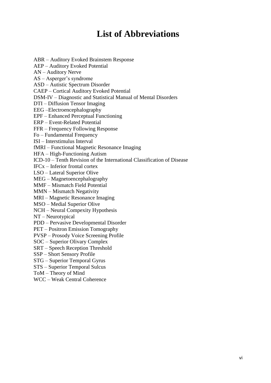### **List of Abbreviations**

ABR – Auditory Evoked Brainstem Response AEP – Auditory Evoked Potential AN – Auditory Nerve AS – Asperger's syndrome ASD – Autistic Spectrum Disorder CAEP – Cortical Auditory Evoked Potential DSM-IV – Diagnostic and Statistical Manual of Mental Disorders DTI – Diffusion Tensor Imaging EEG –Electroencephalography EPF – Enhanced Perceptual Functioning ERP – Event-Related Potential FFR – Frequency Following Response Fo – Fundamental Frequency ISI – Interstimulus Interval fMRI – Functional Magnetic Resonance Imaging HFA – High-Functioning Autism ICD-10 – Tenth Revision of the International Classification of Disease IFCx – Inferior frontal cortex LSO – Lateral Superior Olive MEG – Magnetoencephalography MMF – Mismatch Field Potential MMN – Mismatch Negativity MRI – Magnetic Resonance Imaging MSO – Medial Superior Olive NCH – Neural Compexity Hypothesis NT – Neurotypical PDD – Pervasive Developmental Disorder PET – Positron Emission Tomography PVSP – Prosody Voice Screening Profile SOC – Superior Olivary Complex SRT – Speech Reception Threshold SSP – Short Sensory Profile STG – Superior Temporal Gyrus STS – Superior Temporal Sulcus ToM – Theory of Mind WCC – Weak Central Coherence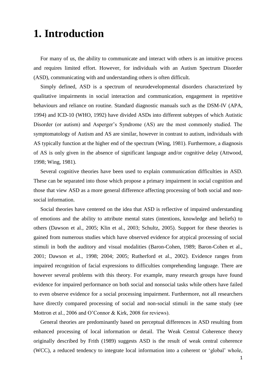## **1. Introduction**

 For many of us, the ability to communicate and interact with others is an intuitive process and requires limited effort. However, for individuals with an Autism Spectrum Disorder (ASD), communicating with and understanding others is often difficult.

 Simply defined, ASD is a spectrum of neurodevelopmental disorders characterized by qualitative impairments in social interaction and communication, engagement in repetitive behaviours and reliance on routine. Standard diagnostic manuals such as the DSM-IV (APA, 1994) and ICD-10 (WHO, 1992) have divided ASDs into different subtypes of which Autistic Disorder (or autism) and Asperger's Syndrome (AS) are the most commonly studied. The symptomatology of Autism and AS are similar, however in contrast to autism, individuals with AS typically function at the higher end of the spectrum (Wing, 1981). Furthermore, a diagnosis of AS is only given in the absence of significant language and/or cognitive delay (Attwood, 1998; Wing, 1981).

 Several cognitive theories have been used to explain communication difficulties in ASD. These can be separated into those which propose a primary impairment in social cognition and those that view ASD as a more general difference affecting processing of both social and nonsocial information.

 Social theories have centered on the idea that ASD is reflective of impaired understanding of emotions and the ability to attribute mental states (intentions, knowledge and beliefs) to others (Dawson et al., 2005; Klin et al., 2003; Schultz, 2005). Support for these theories is gained from numerous studies which have observed evidence for atypical processing of social stimuli in both the auditory and visual modalities (Baron-Cohen, 1989; Baron-Cohen et al., 2001; Dawson et al., 1998; 2004; 2005; Rutherford et al., 2002). Evidence ranges from impaired recognition of facial expressions to difficulties comprehending language. There are however several problems with this theory. For example, many research groups have found evidence for impaired performance on both social and nonsocial tasks while others have failed to even observe evidence for a social processing impairment. Furthermore, not all researchers have directly compared processing of social and non-social stimuli in the same study (see Mottron et al., 2006 and O'Connor & Kirk, 2008 for reviews).

 General theories are predominantly based on perceptual differences in ASD resulting from enhanced processing of local information or detail. The Weak Central Coherence theory originally described by Frith (1989) suggests ASD is the result of weak central coherence (WCC), a reduced tendency to integrate local information into a coherent or ‗global' whole,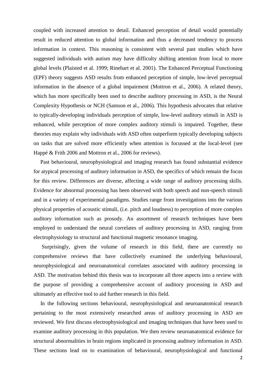coupled with increased attention to detail. Enhanced perception of detail would potentially result in reduced attention to global information and thus a decreased tendency to process information in context. This reasoning is consistent with several past studies which have suggested individuals with autism may have difficulty shifting attention from local to more global levels (Plaisted et al. 1999; Rinehart et al. 2001). The Enhanced Perceptual Functioning (EPF) theory suggests ASD results from enhanced perception of simple, low-level perceptual information in the absence of a global impairment (Mottron et al., 2006). A related theory, which has more specifically been used to describe auditory processing in ASD, is the Neural Complexity Hypothesis or NCH (Samson et al., 2006). This hypothesis advocates that relative to typically-developing individuals perception of simple, low-level auditory stimuli in ASD is enhanced, while perception of more complex auditory stimuli is impaired. Together, these theories may explain why individuals with ASD often outperform typically developing subjects on tasks that are solved more efficiently when attention is focussed at the local-level (see Happé & Frith 2006 and Mottron et al., 2006 for reviews).

 Past behavioural, neurophysiological and imaging research has found substantial evidence for atypical processing of auditory information in ASD, the specifics of which remain the focus for this review. Differences are diverse, affecting a wide range of auditory processing skills. Evidence for abnormal processing has been observed with both speech and non-speech stimuli and in a variety of experimental paradigms. Studies range from investigations into the various physical properties of acoustic stimuli, (i.e. pitch and loudness) to perception of more complex auditory information such as prosody. An assortment of research techniques have been employed to understand the neural correlates of auditory processing in ASD, ranging from electrophysiology to structural and functional magnetic resonance imaging.

 Surprisingly, given the volume of research in this field, there are currently no comprehensive reviews that have collectively examined the underlying behavioural, neurophysiological and neuroanatomical correlates associated with auditory processing in ASD. The motivation behind this thesis was to incorporate all three aspects into a review with the purpose of providing a comprehensive account of auditory processing in ASD and ultimately an effective tool to aid further research in this field.

 In the following sections behavioural, neurophysiological and neuroanatomical research pertaining to the most extensively researched areas of auditory processing in ASD are reviewed. We first discuss electrophysiological and imaging techniques that have been used to examine auditory processing in this population. We then review neuroanatomical evidence for structural abnormalities in brain regions implicated in processing auditory information in ASD. These sections lead on to examination of behavioural, neurophysiological and functional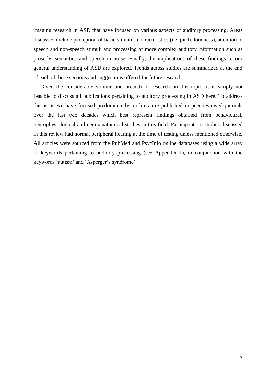imaging research in ASD that have focused on various aspects of auditory processing. Areas discussed include perception of basic stimulus characteristics (i.e. pitch, loudness), attention to speech and non-speech stimuli and processing of more complex auditory information such as prosody, semantics and speech in noise. Finally, the implications of these findings to our general understanding of ASD are explored. Trends across studies are summarized at the end of each of these sections and suggestions offered for future research.

 Given the considerable volume and breadth of research on this topic, it is simply not feasible to discuss all publications pertaining to auditory processing in ASD here. To address this issue we have focused predominantly on literature published in peer-reviewed journals over the last two decades which best represent findings obtained from behavioural, neurophysiological and neuroanatomical studies in this field. Participants in studies discussed in this review had normal peripheral hearing at the time of testing unless mentioned otherwise. All articles were sourced from the PubMed and PsycInfo online databases using a wide array of keywords pertaining to auditory processing (see Appendix 1), in conjunction with the keywords 'autism' and 'Asperger's syndrome'.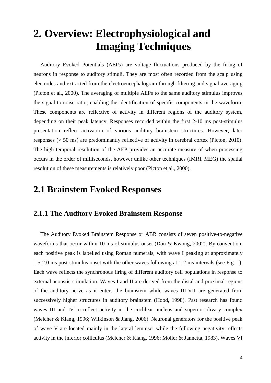# **2. Overview: Electrophysiological and Imaging Techniques**

 Auditory Evoked Potentials (AEPs) are voltage fluctuations produced by the firing of neurons in response to auditory stimuli. They are most often recorded from the scalp using electrodes and extracted from the electroencephalogram through filtering and signal-averaging (Picton et al., 2000). The averaging of multiple AEPs to the same auditory stimulus improves the signal-to-noise ratio, enabling the identification of specific components in the waveform. These components are reflective of activity in different regions of the auditory system, depending on their peak latency. Responses recorded within the first 2-10 ms post-stimulus presentation reflect activation of various auditory brainstem structures. However, later responses (> 50 ms) are predominantly reflective of activity in cerebral cortex (Picton, 2010). The high temporal resolution of the AEP provides an accurate measure of when processing occurs in the order of milliseconds, however unlike other techniques (fMRI, MEG) the spatial resolution of these measurements is relatively poor (Picton et al., 2000).

### **2.1 Brainstem Evoked Responses**

#### **2.1.1 The Auditory Evoked Brainstem Response**

 The Auditory Evoked Brainstem Response or ABR consists of seven positive-to-negative waveforms that occur within 10 ms of stimulus onset (Don & Kwong, 2002). By convention, each positive peak is labelled using Roman numerals, with wave I peaking at approximately 1.5-2.0 ms post-stimulus onset with the other waves following at 1-2 ms intervals (see Fig. 1). Each wave reflects the synchronous firing of different auditory cell populations in response to external acoustic stimulation. Waves I and II are derived from the distal and proximal regions of the auditory nerve as it enters the brainstem while waves III-VII are generated from successively higher structures in auditory brainstem (Hood, 1998). Past research has found waves III and IV to reflect activity in the cochlear nucleus and superior olivary complex (Melcher & Kiang, 1996; Wilkinson & Jiang, 2006). Neuronal generators for the positive peak of wave V are located mainly in the lateral lemnisci while the following negativity reflects activity in the inferior colliculus (Melcher & Kiang, 1996; Moller & Jannetta, 1983). Waves VI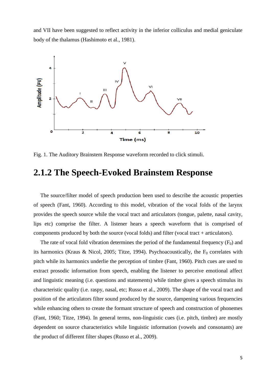and VII have been suggested to reflect activity in the inferior colliculus and medial geniculate body of the thalamus (Hashimoto et al., 1981).



Fig. 1. The Auditory Brainstem Response waveform recorded to click stimuli.

#### **2.1.2 The Speech-Evoked Brainstem Response**

 The source/filter model of speech production been used to describe the acoustic properties of speech (Fant, 1960). According to this model, vibration of the vocal folds of the larynx provides the speech source while the vocal tract and articulators (tongue, palette, nasal cavity, lips etc) comprise the filter. A listener hears a speech waveform that is comprised of components produced by both the source (vocal folds) and filter (vocal tract + articulators).

The rate of vocal fold vibration determines the period of the fundamental frequency  $(F_0)$  and its harmonics (Kraus & Nicol, 2005; Titze, 1994). Psychoacoustically, the  $F_0$  correlates with pitch while its harmonics underlie the perception of timbre (Fant, 1960). Pitch cues are used to extract prosodic information from speech, enabling the listener to perceive emotional affect and linguistic meaning (i.e. questions and statements) while timbre gives a speech stimulus its characteristic quality (i.e. raspy, nasal, etc; Russo et al., 2009). The shape of the vocal tract and position of the articulators filter sound produced by the source, dampening various frequencies while enhancing others to create the formant structure of speech and construction of phonemes (Fant, 1960; Titze, 1994). In general terms, non-linguistic cues (i.e. pitch, timbre) are mostly dependent on source characteristics while linguistic information (vowels and consonants) are the product of different filter shapes (Russo et al., 2009).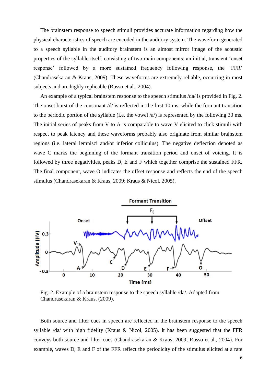The brainstem response to speech stimuli provides accurate information regarding how the physical characteristics of speech are encoded in the auditory system. The waveform generated to a speech syllable in the auditory brainstem is an almost mirror image of the acoustic properties of the syllable itself, consisting of two main components; an initial, transient 'onset response' followed by a more sustained frequency following response, the 'FFR' (Chandrasekaran & Kraus, 2009). These waveforms are extremely reliable, occurring in most subjects and are highly replicable (Russo et al., 2004).

An example of a typical brainstem response to the speech stimulus  $\langle da \rangle$  is provided in Fig. 2. The onset burst of the consonant  $\frac{d}{d}$  is reflected in the first 10 ms, while the formant transition to the periodic portion of the syllable (i.e. the vowel  $\langle a \rangle$ ) is represented by the following 30 ms. The initial series of peaks from V to A is comparable to wave V elicited to click stimuli with respect to peak latency and these waveforms probably also originate from similar brainstem regions (i.e. lateral lemnisci and/or inferior colliculus). The negative deflection denoted as wave C marks the beginning of the formant transition period and onset of voicing. It is followed by three negativities, peaks D, E and F which together comprise the sustained FFR. The final component, wave O indicates the offset response and reflects the end of the speech stimulus (Chandrasekaran & Kraus, 2009; Kraus & Nicol, 2005).



 Fig. 2. Example of a brainstem response to the speech syllable /da/. Adapted from Chandrasekaran & Kraus. (2009).

 Both source and filter cues in speech are reflected in the brainstem response to the speech syllable /da/ with high fidelity (Kraus & Nicol, 2005). It has been suggested that the FFR conveys both source and filter cues (Chandrasekaran & Kraus, 2009; Russo et al., 2004). For example, waves D, E and F of the FFR reflect the periodicity of the stimulus elicited at a rate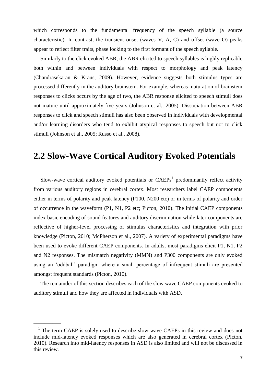which corresponds to the fundamental frequency of the speech syllable (a source characteristic). In contrast, the transient onset (waves V, A, C) and offset (wave O) peaks appear to reflect filter traits, phase locking to the first formant of the speech syllable.

 Similarly to the click evoked ABR, the ABR elicited to speech syllables is highly replicable both within and between individuals with respect to morphology and peak latency (Chandrasekaran & Kraus, 2009). However, evidence suggests both stimulus types are processed differently in the auditory brainstem. For example, whereas maturation of brainstem responses to clicks occurs by the age of two, the ABR response elicited to speech stimuli does not mature until approximately five years (Johnson et al., 2005). Dissociation between ABR responses to click and speech stimuli has also been observed in individuals with developmental and/or learning disorders who tend to exhibit atypical responses to speech but not to click stimuli (Johnson et al., 2005; Russo et al., 2008).

#### **2.2 Slow-Wave Cortical Auditory Evoked Potentials**

Slow-wave cortical auditory evoked potentials or  $CAEPs<sup>1</sup>$  predominantly reflect activity from various auditory regions in cerebral cortex. Most researchers label CAEP components either in terms of polarity and peak latency (P100, N200 etc) or in terms of polarity and order of occurrence in the waveform (P1, N1, P2 etc; Picton, 2010). The initial CAEP components index basic encoding of sound features and auditory discrimination while later components are reflective of higher-level processing of stimulus characteristics and integration with prior knowledge (Picton, 2010; McPherson et al., 2007). A variety of experimental paradigms have been used to evoke different CAEP components. In adults, most paradigms elicit P1, N1, P2 and N2 responses. The mismatch negativity (MMN) and P300 components are only evoked using an 'oddball' paradigm where a small percentage of infrequent stimuli are presented amongst frequent standards (Picton, 2010).

 The remainder of this section describes each of the slow wave CAEP components evoked to auditory stimuli and how they are affected in individuals with ASD.

\_\_\_\_\_\_\_\_\_\_

<sup>&</sup>lt;sup>1</sup> The term CAEP is solely used to describe slow-wave CAEPs in this review and does not include mid-latency evoked responses which are also generated in cerebral cortex (Picton, 2010). Research into mid-latency responses in ASD is also limited and will not be discussed in this review.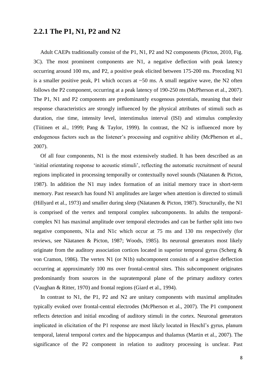#### **2.2.1 The P1, N1, P2 and N2**

 Adult CAEPs traditionally consist of the P1, N1, P2 and N2 components (Picton, 2010, Fig. 3C). The most prominent components are N1, a negative deflection with peak latency occurring around 100 ms, and P2, a positive peak elicited between 175-200 ms. Preceding N1 is a smaller positive peak, P1 which occurs at  $\sim$  50 ms. A small negative wave, the N2 often follows the P2 component, occurring at a peak latency of 190-250 ms (McPherson et al., 2007). The P1, N1 and P2 components are predominantly exogenous potentials, meaning that their response characteristics are strongly influenced by the physical attributes of stimuli such as duration, rise time, intensity level, interstimulus interval (ISI) and stimulus complexity (Tiitinen et al., 1999; Pang & Taylor, 1999). In contrast, the N2 is influenced more by endogenous factors such as the listener's processing and cognitive ability (McPherson et al., 2007).

 Of all four components, N1 is the most extensively studied. It has been described as an ‗initial orientating response to acoustic stimuli', reflecting the automatic recruitment of neural regions implicated in processing temporally or contextually novel sounds (Näatanen & Picton, 1987). In addition the N1 may index formation of an initial memory trace in short-term memory. Past research has found N1 amplitudes are larger when attention is directed to stimuli (Hillyard et al., 1973) and smaller during sleep (Näatanen & Picton, 1987). Structurally, the N1 is comprised of the vertex and temporal complex subcomponents. In adults the temporalcomplex N1 has maximal amplitude over temporal electrodes and can be further split into two negative components, N1a and N1c which occur at 75 ms and 130 ms respectively (for reviews, see Näatanen & Picton, 1987; Woods, 1985). Its neuronal generators most likely originate from the auditory association cortices located in superior temporal gyrus (Scherg & von Cramon, 1986). The vertex N1 (or N1b) subcomponent consists of a negative deflection occurring at approximately 100 ms over frontal-central sites. This subcomponent originates predominantly from sources in the supratemporal plane of the primary auditory cortex (Vaughan & Ritter, 1970) and frontal regions (Giard et al., 1994).

In contrast to N1, the P1, P2 and N2 are unitary components with maximal amplitudes typically evoked over frontal-central electrodes (McPherson et al., 2007). The P1 component reflects detection and initial encoding of auditory stimuli in the cortex. Neuronal generators implicated in elicitation of the P1 response are most likely located in Heschl's gyrus, planum temporal, lateral temporal cortex and the hippocampus and thalamus (Martin et al., 2007). The significance of the P2 component in relation to auditory processing is unclear. Past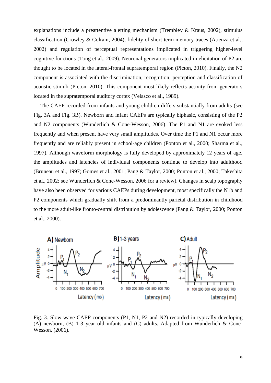explanations include a preattentive alerting mechanism (Trembley & Kraus, 2002), stimulus classification (Crowley & Colrain, 2004), fidelity of short-term memory traces (Atienza et al., 2002) and regulation of perceptual representations implicated in triggering higher-level cognitive functions (Tong et al., 2009). Neuronal generators implicated in elicitation of P2 are thought to be located in the lateral-frontal supratemporal region (Picton, 2010). Finally, the N2 component is associated with the discrimination, recognition, perception and classification of acoustic stimuli (Picton, 2010). This component most likely reflects activity from generators located in the supratemporal auditory cortex (Velasco et al., 1989).

 The CAEP recorded from infants and young children differs substantially from adults (see Fig. 3A and Fig. 3B). Newborn and infant CAEPs are typically biphasic, consisting of the P2 and N2 components (Wunderlich & Cone-Wesson, 2006). The P1 and N1 are evoked less frequently and when present have very small amplitudes. Over time the P1 and N1 occur more frequently and are reliably present in school-age children (Ponton et al., 2000; Sharma et al., 1997). Although waveform morphology is fully developed by approximately 12 years of age, the amplitudes and latencies of individual components continue to develop into adulthood (Bruneau et al., 1997; Gomes et al., 2001; Pang & Taylor, 2000; Ponton et al., 2000; Takeshita et al., 2002; see Wunderlich & Cone-Wesson, 2006 for a review). Changes in scalp topography have also been observed for various CAEPs during development, most specifically the N1b and P2 components which gradually shift from a predominantly parietal distribution in childhood to the more adult-like fronto-central distribution by adolescence (Pang & Taylor, 2000; Ponton et al., 2000).



Fig. 3. Slow-wave CAEP components (P1, N1, P2 and N2) recorded in typically-developing (A) newborn, (B) 1-3 year old infants and (C) adults. Adapted from Wunderlich & Cone-Wesson. (2006).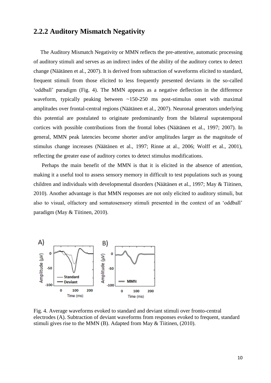#### **2.2.2 Auditory Mismatch Negativity**

 The Auditory Mismatch Negativity or MMN reflects the pre-attentive, automatic processing of auditory stimuli and serves as an indirect index of the ability of the auditory cortex to detect change (Näätänen et al., 2007). It is derived from subtraction of waveforms elicited to standard, frequent stimuli from those elicited to less frequently presented deviants in the so-called ‗oddball' paradigm (Fig. 4). The MMN appears as a negative deflection in the difference waveform, typically peaking between ~150-250 ms post-stimulus onset with maximal amplitudes over frontal-central regions (Näätänen et al., 2007). Neuronal generators underlying this potential are postulated to originate predominantly from the bilateral supratemporal cortices with possible contributions from the frontal lobes (Näätänen et al., 1997; 2007). In general, MMN peak latencies become shorter and/or amplitudes larger as the magnitude of stimulus change increases (Näätänen et al., 1997; Rinne at al., 2006; Wolff et al., 2001), reflecting the greater ease of auditory cortex to detect stimulus modifications.

 Perhaps the main benefit of the MMN is that it is elicited in the absence of attention, making it a useful tool to assess sensory memory in difficult to test populations such as young children and individuals with developmental disorders (Näätänen et al., 1997; May & Tiitinen, 2010). Another advantage is that MMN responses are not only elicited to auditory stimuli, but also to visual, olfactory and somatosensory stimuli presented in the context of an 'oddball' paradigm (May & Tiitinen, 2010).



Fig. 4. Average waveforms evoked to standard and deviant stimuli over fronto-central electrodes (A). Subtraction of deviant waveforms from responses evoked to frequent, standard stimuli gives rise to the MMN (B). Adapted from May & Tiitinen, (2010).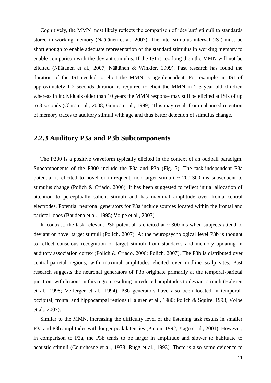Cognitively, the MMN most likely reflects the comparison of ‗deviant' stimuli to standards stored in working memory (Näätänen et al., 2007). The inter-stimulus interval (ISI) must be short enough to enable adequate representation of the standard stimulus in working memory to enable comparison with the deviant stimulus. If the ISI is too long then the MMN will not be elicited (Näätänen et al., 2007; Näätänen & Winkler, 1999). Past research has found the duration of the ISI needed to elicit the MMN is age-dependent. For example an ISI of approximately 1-2 seconds duration is required to elicit the MMN in 2-3 year old children whereas in individuals older than 10 years the MMN response may still be elicited at ISIs of up to 8 seconds (Glass et al., 2008; Gomes et al., 1999). This may result from enhanced retention of memory traces to auditory stimuli with age and thus better detection of stimulus change.

#### **2.2.3 Auditory P3a and P3b Subcomponents**

 The P300 is a positive waveform typically elicited in the context of an oddball paradigm. Subcomponents of the P300 include the P3a and P3b (Fig. 5). The task-independent P3a potential is elicited to novel or infrequent, non-target stimuli  $\sim$  200-300 ms subsequent to stimulus change (Polich & Criado, 2006). It has been suggested to reflect initial allocation of attention to perceptually salient stimuli and has maximal amplitude over frontal-central electrodes. Potential neuronal generators for P3a include sources located within the frontal and parietal lobes (Baudena et al., 1995; Volpe et al., 2007).

In contrast, the task relevant P3b potential is elicited at  $\sim$  300 ms when subjects attend to deviant or novel target stimuli (Polich, 2007). At the neuropsychological level P3b is thought to reflect conscious recognition of target stimuli from standards and memory updating in auditory association cortex (Polich & Criado, 2006; Polich, 2007). The P3b is distributed over central-parietal regions, with maximal amplitudes elicited over midline scalp sites. Past research suggests the neuronal generators of P3b originate primarily at the temporal-parietal junction, with lesions in this region resulting in reduced amplitudes to deviant stimuli (Halgren et al., 1998; Verlerger et al., 1994). P3b generators have also been located in temporaloccipital, frontal and hippocampal regions (Halgren et al., 1980; Polich & Squire, 1993; Volpe et al., 2007).

 Similar to the MMN, increasing the difficulty level of the listening task results in smaller P3a and P3b amplitudes with longer peak latencies (Picton, 1992; Yago et al., 2001). However, in comparison to P3a, the P3b tends to be larger in amplitude and slower to habituate to acoustic stimuli (Courchesne et al., 1978; Rugg et al., 1993). There is also some evidence to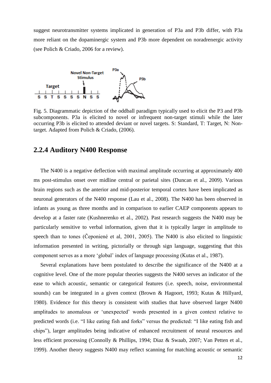suggest neurotransmitter systems implicated in generation of P3a and P3b differ, with P3a more reliant on the dopaminergic system and P3b more dependent on noradrenergic activity (see Polich & Criado, 2006 for a review).



Fig. 5. Diagrammatic depiction of the oddball paradigm typically used to elicit the P3 and P3b subcomponents. P3a is elicited to novel or infrequent non-target stimuli while the later occurring P3b is elicited to attended deviant or novel targets. S: Standard, T: Target, N: Nontarget. Adapted from Polich & Criado, (2006).

#### **2.2.4 Auditory N400 Response**

 The N400 is a negative deflection with maximal amplitude occurring at approximately 400 ms post-stimulus onset over midline central or parietal sites (Duncan et al., 2009). Various brain regions such as the anterior and mid-posterior temporal cortex have been implicated as neuronal generators of the N400 response (Lau et al., 2008). The N400 has been observed in infants as young as three months and in comparison to earlier CAEP components appears to develop at a faster rate (Kushnerenko et al., 2002). Past research suggests the N400 may be particularly sensitive to verbal information, given that it is typically larger in amplitude to speech than to tones (Čeponiené et al, 2001, 2005). The N400 is also elicited to linguistic information presented in writing, pictorially or through sign language, suggesting that this component serves as a more ‗global' index of language processing (Kutas et al., 1987).

 Several explanations have been postulated to describe the significance of the N400 at a cognitive level. One of the more popular theories suggests the N400 serves an indicator of the ease to which acoustic, semantic or categorical features (i.e. speech, noise, environmental sounds) can be integrated in a given context (Brown & Hagoort, 1993; Kutas & Hillyard, 1980). Evidence for this theory is consistent with studies that have observed larger N400 amplitudes to anomalous or 'unexpected' words presented in a given context relative to predicted words (i.e. "I like eating fish and forks" versus the predicted: "I like eating fish and chips"), larger amplitudes being indicative of enhanced recruitment of neural resources and less efficient processing (Connolly & Phillips, 1994; Diaz & Swaab, 2007; Van Petten et al., 1999). Another theory suggests N400 may reflect scanning for matching acoustic or semantic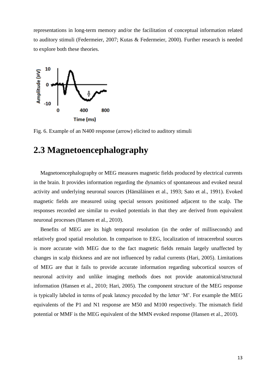representations in long-term memory and/or the facilitation of conceptual information related to auditory stimuli (Federmeier, 2007; Kutas & Federmeier, 2000). Further research is needed to explore both these theories.



Fig. 6. Example of an N400 response (arrow) elicited to auditory stimuli

### **2.3 Magnetoencephalography**

 Magnetoencephalography or MEG measures magnetic fields produced by electrical currents in the brain. It provides information regarding the dynamics of spontaneous and evoked neural activity and underlying neuronal sources (Hämäläinen et al., 1993; Sato et al., 1991). Evoked magnetic fields are measured using special sensors positioned adjacent to the scalp. The responses recorded are similar to evoked potentials in that they are derived from equivalent neuronal processes (Hansen et al., 2010).

 Benefits of MEG are its high temporal resolution (in the order of milliseconds) and relatively good spatial resolution. In comparison to EEG, localization of intracerebral sources is more accurate with MEG due to the fact magnetic fields remain largely unaffected by changes in scalp thickness and are not influenced by radial currents (Hari, 2005). Limitations of MEG are that it fails to provide accurate information regarding subcortical sources of neuronal activity and unlike imaging methods does not provide anatomical/structural information (Hansen et al., 2010; Hari, 2005). The component structure of the MEG response is typically labeled in terms of peak latency preceded by the letter 'M'. For example the MEG equivalents of the P1 and N1 response are M50 and M100 respectively. The mismatch field potential or MMF is the MEG equivalent of the MMN evoked response (Hansen et al., 2010).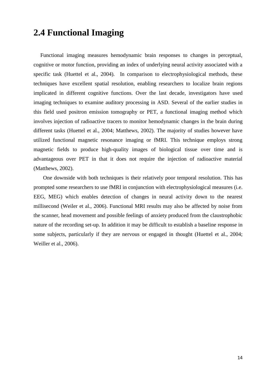### **2.4 Functional Imaging**

 Functional imaging measures hemodynamic brain responses to changes in perceptual, cognitive or motor function, providing an index of underlying neural activity associated with a specific task (Huettel et al., 2004). In comparison to electrophysiological methods, these techniques have excellent spatial resolution, enabling researchers to localize brain regions implicated in different cognitive functions. Over the last decade, investigators have used imaging techniques to examine auditory processing in ASD. Several of the earlier studies in this field used positron emission tomography or PET, a functional imaging method which involves injection of radioactive tracers to monitor hemodynamic changes in the brain during different tasks (Huettel et al., 2004; Matthews, 2002). The majority of studies however have utilized functional magnetic resonance imaging or fMRI. This technique employs strong magnetic fields to produce high-quality images of biological tissue over time and is advantageous over PET in that it does not require the injection of radioactive material (Matthews, 2002).

 One downside with both techniques is their relatively poor temporal resolution. This has prompted some researchers to use fMRI in conjunction with electrophysiological measures (i.e. EEG, MEG) which enables detection of changes in neural activity down to the nearest millisecond (Weiler et al., 2006). Functional MRI results may also be affected by noise from the scanner, head movement and possible feelings of anxiety produced from the claustrophobic nature of the recording set-up. In addition it may be difficult to establish a baseline response in some subjects, particularly if they are nervous or engaged in thought (Huettel et al., 2004; Weiller et al., 2006).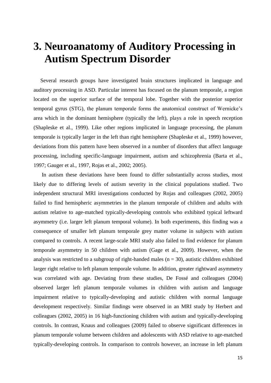## **3. Neuroanatomy of Auditory Processing in Autism Spectrum Disorder**

 Several research groups have investigated brain structures implicated in language and auditory processing in ASD. Particular interest has focused on the planum temporale, a region located on the superior surface of the temporal lobe. Together with the posterior superior temporal gyrus (STG), the planum temporale forms the anatomical construct of Wernicke's area which in the dominant hemisphere (typically the left), plays a role in speech reception (Shapleske et al., 1999). Like other regions implicated in language processing, the planum temporale is typically larger in the left than right hemisphere (Shapleske et al., 1999) however, deviations from this pattern have been observed in a number of disorders that affect language processing, including specific-language impairment, autism and schizophrenia (Barta et al., 1997; Gauger et al., 1997, Rojas et al., 2002; 2005).

 In autism these deviations have been found to differ substantially across studies, most likely due to differing levels of autism severity in the clinical populations studied. Two independent structural MRI investigations conducted by Rojas and colleagues (2002, 2005) failed to find hemispheric asymmetries in the planum temporale of children and adults with autism relative to age-matched typically-developing controls who exhibited typical leftward asymmetry (i.e. larger left planum temporal volume). In both experiments, this finding was a consequence of smaller left planum temporale grey matter volume in subjects with autism compared to controls. A recent large-scale MRI study also failed to find evidence for planum temporale asymmetry in 50 children with autism (Gage et al., 2009). However, when the analysis was restricted to a subgroup of right-handed males ( $n = 30$ ), autistic children exhibited larger right relative to left planum temporale volume. In addition, greater rightward asymmetry was correlated with age. Deviating from these studies, De Fossé and colleagues (2004) observed larger left planum temporale volumes in children with autism and language impairment relative to typically-developing and autistic children with normal language development respectively. Similar findings were observed in an MRI study by Herbert and colleagues (2002, 2005) in 16 high-functioning children with autism and typically-developing controls. In contrast, Knaus and colleagues (2009) failed to observe significant differences in planum temporale volume between children and adolescents with ASD relative to age-matched typically-developing controls. In comparison to controls however, an increase in left planum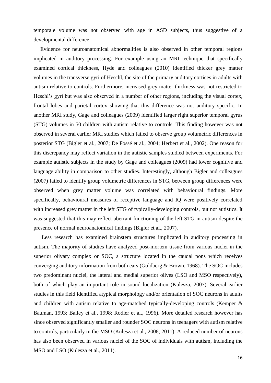temporale volume was not observed with age in ASD subjects, thus suggestive of a developmental difference.

 Evidence for neuroanatomical abnormalities is also observed in other temporal regions implicated in auditory processing. For example using an MRI technique that specifically examined cortical thickness, Hyde and colleagues (2010) identified thicker grey matter volumes in the transverse gyri of Heschl, the site of the primary auditory cortices in adults with autism relative to controls. Furthermore, increased grey matter thickness was not restricted to Heschl's gyri but was also observed in a number of other regions, including the visual cortex, frontal lobes and parietal cortex showing that this difference was not auditory specific. In another MRI study, Gage and colleagues (2009) identified larger right superior temporal gyrus (STG) volumes in 50 children with autism relative to controls. This finding however was not observed in several earlier MRI studies which failed to observe group volumetric differences in posterior STG (Bigler et al., 2007; De Fossé et al., 2004; Herbert et al., 2002). One reason for this discrepancy may reflect variation in the autistic samples studied between experiments. For example autistic subjects in the study by Gage and colleagues (2009) had lower cognitive and language ability in comparison to other studies. Interestingly, although Bigler and colleagues (2007) failed to identify group volumetric differences in STG, between group differences were observed when grey matter volume was correlated with behavioural findings. More specifically, behavioural measures of receptive language and IQ were positively correlated with increased grey matter in the left STG of typically-developing controls, but not autistics. It was suggested that this may reflect aberrant functioning of the left STG in autism despite the presence of normal neuroanatomical findings (Bigler et al., 2007).

 Less research has examined brainstem structures implicated in auditory processing in autism. The majority of studies have analyzed post-mortem tissue from various nuclei in the superior olivary complex or SOC, a structure located in the caudal pons which receives converging auditory information from both ears (Goldberg & Brown, 1968). The SOC includes two predominant nuclei, the lateral and medial superior olives (LSO and MSO respectively), both of which play an important role in sound localization (Kulesza, 2007). Several earlier studies in this field identified atypical morphology and/or orientation of SOC neurons in adults and children with autism relative to age-matched typically-developing controls (Kemper & Bauman, 1993; Bailey et al., 1998; Rodier et al., 1996). More detailed research however has since observed significantly smaller and rounder SOC neurons in teenagers with autism relative to controls, particularly in the MSO (Kulesza et al., 2008, 2011). A reduced number of neurons has also been observed in various nuclei of the SOC of individuals with autism, including the MSO and LSO (Kulesza et al., 2011).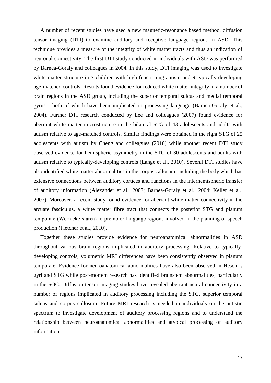A number of recent studies have used a new magnetic-resonance based method, diffusion tensor imaging (DTI) to examine auditory and receptive language regions in ASD. This technique provides a measure of the integrity of white matter tracts and thus an indication of neuronal connectivity. The first DTI study conducted in individuals with ASD was performed by Barnea-Goraly and colleagues in 2004. In this study, DTI imaging was used to investigate white matter structure in 7 children with high-functioning autism and 9 typically-developing age-matched controls. Results found evidence for reduced white matter integrity in a number of brain regions in the ASD group, including the superior temporal sulcus and medial temporal gyrus - both of which have been implicated in processing language (Barnea-Goraly et al., 2004). Further DTI research conducted by Lee and colleagues (2007) found evidence for aberrant white matter microstructure in the bilateral STG of 43 adolescents and adults with autism relative to age-matched controls. Similar findings were obtained in the right STG of 25 adolescents with autism by Cheng and colleagues (2010) while another recent DTI study observed evidence for hemispheric asymmetry in the STG of 30 adolescents and adults with autism relative to typically-developing controls (Lange et al., 2010). Several DTI studies have also identified white matter abnormalities in the corpus callosum, including the body which has extensive connections between auditory cortices and functions in the interhemispheric transfer of auditory information (Alexander et al., 2007; Barnea-Goraly et al., 2004; Keller et al., 2007). Moreover, a recent study found evidence for aberrant white matter connectivity in the arcuate fasciculus, a white matter fibre tract that connects the posterior STG and planum temporale (Wernicke's area) to premotor language regions involved in the planning of speech production (Fletcher et al., 2010).

 Together these studies provide evidence for neuroanatomical abnormalities in ASD throughout various brain regions implicated in auditory processing. Relative to typicallydeveloping controls, volumetric MRI differences have been consistently observed in planum temporale. Evidence for neuroanatomical abnormalities have also been observed in Heschl's gyri and STG while post-mortem research has identified brainstem abnormalities, particularly in the SOC. Diffusion tensor imaging studies have revealed aberrant neural connectivity in a number of regions implicated in auditory processing including the STG, superior temporal sulcus and corpus callosum. Future MRI research is needed in individuals on the autistic spectrum to investigate development of auditory processing regions and to understand the relationship between neuroanatomical abnormalities and atypical processing of auditory information.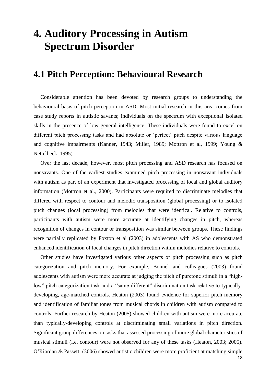# **4. Auditory Processing in Autism Spectrum Disorder**

#### **4.1 Pitch Perception: Behavioural Research**

 Considerable attention has been devoted by research groups to understanding the behavioural basis of pitch perception in ASD. Most initial research in this area comes from case study reports in autistic savants; individuals on the spectrum with exceptional isolated skills in the presence of low general intelligence. These individuals were found to excel on different pitch processing tasks and had absolute or 'perfect' pitch despite various language and cognitive impairments (Kanner, 1943; Miller, 1989; Mottron et al, 1999; Young & Nettelbeck, 1995).

 Over the last decade, however, most pitch processing and ASD research has focused on nonsavants. One of the earliest studies examined pitch processing in nonsavant individuals with autism as part of an experiment that investigated processing of local and global auditory information (Mottron et al., 2000). Participants were required to discriminate melodies that differed with respect to contour and melodic transposition (global processing) or to isolated pitch changes (local processing) from melodies that were identical. Relative to controls, participants with autism were more accurate at identifying changes in pitch, whereas recognition of changes in contour or transposition was similar between groups. These findings were partially replicated by Foxton et al (2003) in adolescents with AS who demonstrated enhanced identification of local changes in pitch direction within melodies relative to controls.

 Other studies have investigated various other aspects of pitch processing such as pitch categorization and pitch memory. For example, Bonnel and colleagues (2003) found adolescents with autism were more accurate at judging the pitch of puretone stimuli in a "highlow" pitch categorization task and a "same-different" discrimination task relative to typicallydeveloping, age-matched controls. Heaton (2003) found evidence for superior pitch memory and identification of familiar tones from musical chords in children with autism compared to controls. Further research by Heaton (2005) showed children with autism were more accurate than typically-developing controls at discriminating small variations in pitch direction. Significant group differences on tasks that assessed processing of more global characteristics of musical stimuli (i.e. contour) were not observed for any of these tasks (Heaton, 2003; 2005). O'Riordan & Passetti (2006) showed autistic children were more proficient at matching simple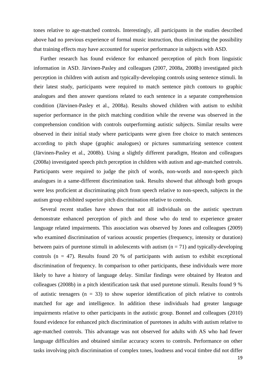tones relative to age-matched controls. Interestingly, all participants in the studies described above had no previous experience of formal music instruction, thus eliminating the possibility that training effects may have accounted for superior performance in subjects with ASD.

 Further research has found evidence for enhanced perception of pitch from linguistic information in ASD. Järvinen-Pasley and colleagues (2007, 2008a, 2008b) investigated pitch perception in children with autism and typically-developing controls using sentence stimuli. In their latest study, participants were required to match sentence pitch contours to graphic analogues and then answer questions related to each sentence in a separate comprehension condition (Järvinen-Pasley et al., 2008a). Results showed children with autism to exhibit superior performance in the pitch matching condition while the reverse was observed in the comprehension condition with controls outperforming autistic subjects. Similar results were observed in their initial study where participants were given free choice to match sentences according to pitch shape (graphic analogues) or pictures summarizing sentence content (Järvinen-Pasley et al., 2008b). Using a slightly different paradigm, Heaton and colleagues (2008a) investigated speech pitch perception in children with autism and age-matched controls. Participants were required to judge the pitch of words, non-words and non-speech pitch analogues in a same-different discrimination task. Results showed that although both groups were less proficient at discriminating pitch from speech relative to non-speech, subjects in the autism group exhibited superior pitch discrimination relative to controls.

 Several recent studies have shown that not all individuals on the autistic spectrum demonstrate enhanced perception of pitch and those who do tend to experience greater language related impairments. This association was observed by Jones and colleagues (2009) who examined discrimination of various acoustic properties (frequency, intensity or duration) between pairs of puretone stimuli in adolescents with autism  $(n = 71)$  and typically-developing controls ( $n = 47$ ). Results found 20 % of participants with autism to exhibit exceptional discrimination of frequency. In comparison to other participants, these individuals were more likely to have a history of language delay. Similar findings were obtained by Heaton and colleagues (2008b) in a pitch identification task that used puretone stimuli. Results found 9 % of autistic teenagers  $(n = 33)$  to show superior identification of pitch relative to controls matched for age and intelligence. In addition these individuals had greater language impairments relative to other participants in the autistic group. Bonnel and colleagues (2010) found evidence for enhanced pitch discrimination of puretones in adults with autism relative to age-matched controls. This advantage was not observed for adults with AS who had fewer language difficulties and obtained similar accuracy scores to controls. Performance on other tasks involving pitch discrimination of complex tones, loudness and vocal timbre did not differ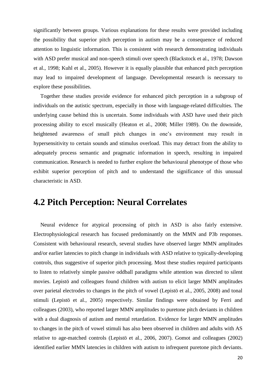significantly between groups. Various explanations for these results were provided including the possibility that superior pitch perception in autism may be a consequence of reduced attention to linguistic information. This is consistent with research demonstrating individuals with ASD prefer musical and non-speech stimuli over speech (Blackstock et al., 1978; Dawson et al., 1998; Kuhl et al., 2005). However it is equally plausible that enhanced pitch perception may lead to impaired development of language. Developmental research is necessary to explore these possibilities.

 Together these studies provide evidence for enhanced pitch perception in a subgroup of individuals on the autistic spectrum, especially in those with language-related difficulties. The underlying cause behind this is uncertain. Some individuals with ASD have used their pitch processing ability to excel musically (Heaton et al., 2008; Miller 1989). On the downside, heightened awareness of small pitch changes in one's environment may result in hypersensitivity to certain sounds and stimulus overload. This may detract from the ability to adequately process semantic and pragmatic information in speech, resulting in impaired communication. Research is needed to further explore the behavioural phenotype of those who exhibit superior perception of pitch and to understand the significance of this unusual characteristic in ASD.

### **4.2 Pitch Perception: Neural Correlates**

 Neural evidence for atypical processing of pitch in ASD is also fairly extensive. Electrophysiological research has focused predominantly on the MMN and P3b responses. Consistent with behavioural research, several studies have observed larger MMN amplitudes and/or earlier latencies to pitch change in individuals with ASD relative to typically-developing controls, thus suggestive of superior pitch processing. Most these studies required participants to listen to relatively simple passive oddball paradigms while attention was directed to silent movies. Lepistö and colleagues found children with autism to elicit larger MMN amplitudes over parietal electrodes to changes in the pitch of vowel (Lepistö et al., 2005, 2008) and tonal stimuli (Lepistö et al., 2005) respectively. Similar findings were obtained by Ferri and colleagues (2003), who reported larger MMN amplitudes to puretone pitch deviants in children with a dual diagnosis of autism and mental retardation. Evidence for larger MMN amplitudes to changes in the pitch of vowel stimuli has also been observed in children and adults with AS relative to age-matched controls (Lepistö et al., 2006, 2007). Gomot and colleagues (2002) identified earlier MMN latencies in children with autism to infrequent puretone pitch deviants.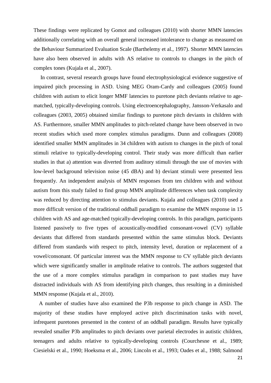These findings were replicated by Gomot and colleagues (2010) with shorter MMN latencies additionally correlating with an overall general increased intolerance to change as measured on the Behaviour Summarized Evaluation Scale (Barthelemy et al., 1997). Shorter MMN latencies have also been observed in adults with AS relative to controls to changes in the pitch of complex tones (Kujala et al., 2007).

 In contrast, several research groups have found electrophysiological evidence suggestive of impaired pitch processing in ASD. Using MEG Oram-Cardy and colleagues (2005) found children with autism to elicit longer MMF latencies to puretone pitch deviants relative to agematched, typically-developing controls. Using electroencephalography, Jansson-Verkasalo and colleagues (2003, 2005) obtained similar findings to puretone pitch deviants in children with AS. Furthermore, smaller MMN amplitudes to pitch-related change have been observed in two recent studies which used more complex stimulus paradigms. Dunn and colleagues (2008) identified smaller MMN amplitudes in 34 children with autism to changes in the pitch of tonal stimuli relative to typically-developing control. Their study was more difficult than earlier studies in that a) attention was diverted from auditory stimuli through the use of movies with low-level background television noise (45 dBA) and b) deviant stimuli were presented less frequently. An independent analysis of MMN responses from ten children with and without autism from this study failed to find group MMN amplitude differences when task complexity was reduced by directing attention to stimulus deviants. Kujala and colleagues (2010) used a more difficult version of the traditional oddball paradigm to examine the MMN response in 15 children with AS and age-matched typically-developing controls. In this paradigm, participants listened passively to five types of acoustically-modified consonant-vowel (CV) syllable deviants that differed from standards presented within the same stimulus block. Deviants differed from standards with respect to pitch, intensity level, duration or replacement of a vowel/consonant. Of particular interest was the MMN response to CV syllable pitch deviants which were significantly smaller in amplitude relative to controls. The authors suggested that the use of a more complex stimulus paradigm in comparison to past studies may have distracted individuals with AS from identifying pitch changes, thus resulting in a diminished MMN response (Kujala et al., 2010).

 A number of studies have also examined the P3b response to pitch change in ASD. The majority of these studies have employed active pitch discrimination tasks with novel, infrequent puretones presented in the context of an oddball paradigm. Results have typically revealed smaller P3b amplitudes to pitch deviants over parietal electrodes in autistic children, teenagers and adults relative to typically-developing controls (Courchesne et al., 1989; Ciesielski et al., 1990; Hoeksma et al., 2006; Lincoln et al., 1993; Oades et al., 1988; Salmond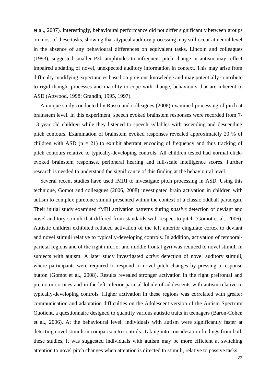et al., 2007). Interestingly, behavioural performance did not differ significantly between groups on most of these tasks, showing that atypical auditory processing may still occur at neural level in the absence of any behavioural differences on equivalent tasks. Lincoln and colleagues (1993), suggested smaller P3b amplitudes to infrequent pitch change in autism may reflect impaired updating of novel, unexpected auditory information in context. This may arise from difficulty modifying expectancies based on previous knowledge and may potentially contribute to rigid thought processes and inability to cope with change, behaviours that are inherent to ASD (Attwood, 1998; Grandin, 1995, 1997).

 A unique study conducted by Russo and colleagues (2008) examined processing of pitch at brainstem level. In this experiment, speech evoked brainstem responses were recorded from 7- 13 year old children while they listened to speech syllables with ascending and descending pitch contours. Examination of brainstem evoked responses revealed approximately 20 % of children with ASD ( $n = 21$ ) to exhibit aberrant encoding of frequency and thus tracking of pitch contours relative to typically-developing controls. All children tested had normal clickevoked brainstem responses, peripheral hearing and full-scale intelligence scores. Further research is needed to understand the significance of this finding at the behavioural level.

 Several recent studies have used fMRI to investigate pitch processing in ASD. Using this technique, Gomot and colleagues (2006, 2008) investigated brain activation in children with autism to complex puretone stimuli presented within the context of a classic oddball paradigm. Their initial study examined fMRI activation patterns during *passive* detection of deviant and novel auditory stimuli that differed from standards with respect to pitch (Gomot et al., 2006). Autistic children exhibited reduced activation of the left anterior cingulate cortex to deviant and novel stimuli relative to typically-developing controls. In addition, activation of temporalparietal regions and of the right inferior and middle frontal gyri was reduced to novel stimuli in subjects with autism. A later study investigated *active* detection of novel auditory stimuli, where participants were required to respond to novel pitch changes by pressing a response button (Gomot et al., 2008). Results revealed stronger activation in the right prefrontal and premotor cortices and in the left inferior parietal lobule of adolescents with autism relative to typically-developing controls. Higher activation in these regions was correlated with greater communication and adaptation difficulties on the Adolescent version of the Autism Spectrum Quotient, a questionnaire designed to quantify various autistic traits in teenagers (Baron-Cohen et al., 2006). At the behavioural level, individuals with autism were significantly faster at detecting novel stimuli in comparison to controls. Taking into consideration findings from both these studies, it was suggested individuals with autism may be more efficient at switching attention to novel pitch changes when attention is directed to stimuli, relative to passive tasks.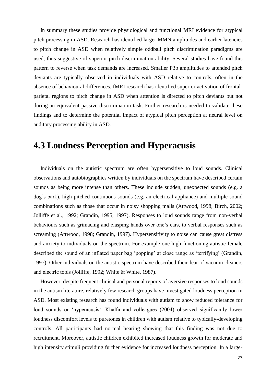In summary these studies provide physiological and functional MRI evidence for atypical pitch processing in ASD. Research has identified larger MMN amplitudes and earlier latencies to pitch change in ASD when relatively simple oddball pitch discrimination paradigms are used, thus suggestive of superior pitch discrimination ability. Several studies have found this pattern to reverse when task demands are increased. Smaller P3b amplitudes to attended pitch deviants are typically observed in individuals with ASD relative to controls, often in the absence of behavioural differences. fMRI research has identified superior activation of frontalparietal regions to pitch change in ASD when attention is directed to pitch deviants but not during an equivalent passive discrimination task. Further research is needed to validate these findings and to determine the potential impact of atypical pitch perception at neural level on auditory processing ability in ASD.

### **4.3 Loudness Perception and Hyperacusis**

 Individuals on the autistic spectrum are often hypersensitive to loud sounds. Clinical observations and autobiographies written by individuals on the spectrum have described certain sounds as being more intense than others. These include sudden, unexpected sounds (e.g. a dog's bark), high-pitched continuous sounds (e.g. an electrical appliance) and multiple sound combinations such as those that occur in noisy shopping malls (Attwood, 1998; Birch, 2002; Jolliffe et al., 1992; Grandin, 1995, 1997). Responses to loud sounds range from non-verbal behaviours such as grimacing and clasping hands over one's ears, to verbal responses such as screaming (Attwood, 1998; Grandin, 1997). Hypersensitivity to noise can cause great distress and anxiety to individuals on the spectrum. For example one high-functioning autistic female described the sound of an inflated paper bag 'popping' at close range as 'terrifying' (Grandin, 1997). Other individuals on the autistic spectrum have described their fear of vacuum cleaners and electric tools (Jolliffe, 1992; White & White, 1987).

 However, despite frequent clinical and personal reports of aversive responses to loud sounds in the autism literature, relatively few research groups have investigated loudness perception in ASD. Most existing research has found individuals with autism to show reduced tolerance for loud sounds or 'hyperacusis'. Khalfa and colleagues (2004) observed significantly lower loudness discomfort levels to puretones in children with autism relative to typically-developing controls. All participants had normal hearing showing that this finding was not due to recruitment. Moreover, autistic children exhibited increased loudness growth for moderate and high intensity stimuli providing further evidence for increased loudness perception. In a large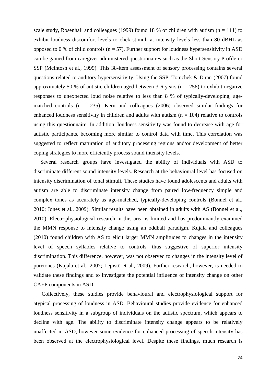scale study, Rosenhall and colleagues (1999) found 18 % of children with autism ( $n = 111$ ) to exhibit loudness discomfort levels to click stimuli at intensity levels less than 80 dBHL as opposed to 0 % of child controls ( $n = 57$ ). Further support for loudness hypersensitivity in ASD can be gained from caregiver administered questionnaires such as the Short Sensory Profile or SSP (McIntosh et al., 1999). This 38-item assessment of sensory processing contains several questions related to auditory hypersensitivity. Using the SSP, Tomchek & Dunn (2007) found approximately 50 % of autistic children aged between 3-6 years ( $n = 256$ ) to exhibit negative responses to unexpected loud noise relative to less than 8 % of typically-developing, agematched controls ( $n = 235$ ). Kern and colleagues (2006) observed similar findings for enhanced loudness sensitivity in children and adults with autism  $(n = 104)$  relative to controls using this questionnaire. In addition, loudness sensitivity was found to decrease with age for autistic participants, becoming more similar to control data with time. This correlation was suggested to reflect maturation of auditory processing regions and/or development of better coping strategies to more efficiently process sound intensity levels.

 Several research groups have investigated the ability of individuals with ASD to discriminate different sound intensity levels. Research at the behavioural level has focused on intensity discrimination of tonal stimuli. These studies have found adolescents and adults with autism are able to discriminate intensity change from paired low-frequency simple and complex tones as accurately as age-matched, typically-developing controls (Bonnel et al., 2010; Jones et al., 2009). Similar results have been obtained in adults with AS (Bonnel et al., 2010). Electrophysiological research in this area is limited and has predominantly examined the MMN response to intensity change using an oddball paradigm. Kujala and colleagues (2010) found children with AS to elicit larger MMN amplitudes to changes in the intensity level of speech syllables relative to controls, thus suggestive of superior intensity discrimination. This difference, however, was not observed to changes in the intensity level of puretones (Kujala et al., 2007; Lepistö et al., 2009). Further research, however, is needed to validate these findings and to investigate the potential influence of intensity change on other CAEP components in ASD.

 Collectively, these studies provide behavioural and electrophysiological support for atypical processing of loudness in ASD. Behavioural studies provide evidence for enhanced loudness sensitivity in a subgroup of individuals on the autistic spectrum, which appears to decline with age. The ability to discriminate intensity change appears to be relatively unaffected in ASD, however some evidence for enhanced processing of speech intensity has been observed at the electrophysiological level. Despite these findings, much research is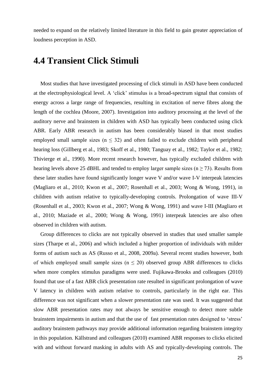needed to expand on the relatively limited literature in this field to gain greater appreciation of loudness perception in ASD.

### **4.4 Transient Click Stimuli**

 Most studies that have investigated processing of click stimuli in ASD have been conducted at the electrophysiological level. A ‗click' stimulus is a broad-spectrum signal that consists of energy across a large range of frequencies, resulting in excitation of nerve fibres along the length of the cochlea (Moore, 2007). Investigation into auditory processing at the level of the auditory nerve and brainstem in children with ASD has typically been conducted using click ABR. Early ABR research in autism has been considerably biased in that most studies employed small sample sizes ( $n \leq 32$ ) and often failed to exclude children with peripheral hearing loss (Gillberg et al., 1983; Skoff et al., 1980; Tanguay et al., 1982; Taylor et al., 1982; Thivierge et al., 1990). More recent research however, has typically excluded children with hearing levels above 25 dBHL and tended to employ larger sample sizes ( $n \ge 73$ ). Results from these later studies have found significantly longer wave V and/or wave I-V interpeak latencies (Magliaro et al., 2010; Kwon et al., 2007; Rosenhall et al., 2003; Wong & Wong, 1991), in children with autism relative to typically-developing controls. Prolongation of wave III-V (Rosenhall et al., 2003; Kwon et al., 2007; Wong & Wong, 1991) and wave I-III (Magliaro et al., 2010; Maziade et al., 2000; Wong & Wong, 1991) interpeak latencies are also often observed in children with autism.

 Group differences to clicks are not typically observed in studies that used smaller sample sizes (Tharpe et al., 2006) and which included a higher proportion of individuals with milder forms of autism such as AS (Russo et al., 2008, 2009a). Several recent studies however, both of which employed small sample sizes ( $n \leq 20$ ) observed group ABR differences to clicks when more complex stimulus paradigms were used. Fujikawa-Brooks and colleagues (2010) found that use of a fast ABR click presentation rate resulted in significant prolongation of wave V latency in children with autism relative to controls, particularly in the right ear. This difference was not significant when a slower presentation rate was used. It was suggested that slow ABR presentation rates may not always be sensitive enough to detect more subtle brainstem impairments in autism and that the use of fast presentation rates designed to 'stress' auditory brainstem pathways may provide additional information regarding brainstem integrity in this population. Källstrand and colleagues (2010) examined ABR responses to clicks elicited with and without forward masking in adults with AS and typically-developing controls. The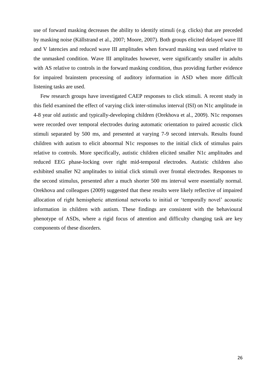use of forward masking decreases the ability to identify stimuli (e.g. clicks) that are preceded by masking noise (Källstrand et al., 2007; Moore, 2007). Both groups elicited delayed wave III and V latencies and reduced wave III amplitudes when forward masking was used relative to the unmasked condition. Wave III amplitudes however, were significantly smaller in adults with AS relative to controls in the forward masking condition, thus providing further evidence for impaired brainstem processing of auditory information in ASD when more difficult listening tasks are used.

 Few research groups have investigated CAEP responses to click stimuli. A recent study in this field examined the effect of varying click inter-stimulus interval (ISI) on N1c amplitude in 4-8 year old autistic and typically-developing children (Orekhova et al., 2009). N1c responses were recorded over temporal electrodes during automatic orientation to paired acoustic click stimuli separated by 500 ms, and presented at varying 7-9 second intervals. Results found children with autism to elicit abnormal N1c responses to the initial click of stimulus pairs relative to controls. More specifically, autistic children elicited smaller N1c amplitudes and reduced EEG phase-locking over right mid-temporal electrodes. Autistic children also exhibited smaller N2 amplitudes to initial click stimuli over frontal electrodes. Responses to the second stimulus, presented after a much shorter 500 ms interval were essentially normal. Orekhova and colleagues (2009) suggested that these results were likely reflective of impaired allocation of right hemispheric attentional networks to initial or 'temporally novel' acoustic information in children with autism. These findings are consistent with the behavioural phenotype of ASDs, where a rigid focus of attention and difficulty changing task are key components of these disorders.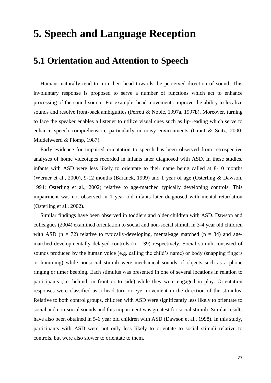## **5. Speech and Language Reception**

### **5.1 Orientation and Attention to Speech**

 Humans naturally tend to turn their head towards the perceived direction of sound. This involuntary response is proposed to serve a number of functions which act to enhance processing of the sound source. For example, head movements improve the ability to localize sounds and resolve front-back ambiguities (Perrett & Noble, 1997a, 1997b). Moreover, turning to face the speaker enables a listener to utilize visual cues such as lip-reading which serve to enhance speech comprehension, particularly in noisy environments (Grant & Seitz, 2000; Middelweerd & Plomp, 1987).

 Early evidence for impaired orientation to speech has been observed from retrospective analyses of home videotapes recorded in infants later diagnosed with ASD. In these studies, infants with ASD were less likely to orientate to their name being called at 8-10 months (Werner et al., 2000), 9-12 months (Baranek, 1999) and 1 year of age (Osterling & Dawson, 1994; Osterling et al., 2002) relative to age-matched typically developing controls. This impairment was not observed in 1 year old infants later diagnosed with mental retardation (Osterling et al., 2002).

 Similar findings have been observed in toddlers and older children with ASD. Dawson and colleagues (2004) examined orientation to social and non-social stimuli in 3-4 year old children with ASD ( $n = 72$ ) relative to typically-developing, mental-age matched ( $n = 34$ ) and agematched developmentally delayed controls  $(n = 39)$  respectively. Social stimuli consisted of sounds produced by the human voice (e.g. calling the child's name) or body (snapping fingers or humming) while nonsocial stimuli were mechanical sounds of objects such as a phone ringing or timer beeping. Each stimulus was presented in one of several locations in relation to participants (i.e. behind, in front or to side) while they were engaged in play. Orientation responses were classified as a head turn or eye movement in the direction of the stimulus. Relative to both control groups, children with ASD were significantly less likely to orientate to social and non-social sounds and this impairment was greatest for social stimuli. Similar results have also been obtained in 5-6 year old children with ASD (Dawson et al., 1998). In this study, participants with ASD were not only less likely to orientate to social stimuli relative to controls, but were also slower to orientate to them.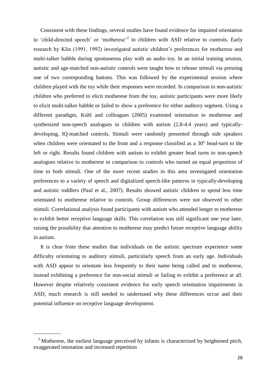Consistent with these findings, several studies have found evidence for impaired orientation to 'child-directed speech' or 'motherese'<sup>2</sup> in children with ASD relative to controls. Early research by Klin (1991, 1992) investigated autistic children's preferences for motherese and multi-talker babble during spontaneous play with an audio toy. In an initial training session, autistic and age-matched non-autistic controls were taught how to release stimuli via pressing one of two corresponding buttons. This was followed by the experimental session where children played with the toy while their responses were recorded. In comparison to non-autistic children who preferred to elicit motherese from the toy, autistic participants were more likely to elicit multi-talker babble or failed to show a preference for either auditory segment. Using a different paradigm, Kuhl and colleagues (2005) examined orientation to motherese and synthesized non-speech analogues in children with autism (2.8-4.4 years) and typicallydeveloping, IQ-matched controls. Stimuli were randomly presented through side speakers when children were orientated to the front and a response classified as a 30° head-turn to the left or right. Results found children with autism to exhibit greater head turns to non-speech analogues relative to motherese in comparison to controls who turned an equal proportion of time to both stimuli. One of the more recent studies in this area investigated orientation preferences to a variety of speech and digitalized speech-like patterns in typically-developing and autistic toddlers (Paul et al., 2007). Results showed autistic children to spend less time orientated to motherese relative to controls. Group differences were not observed to other stimuli. Correlational analysis found participants with autism who attended longer to motherese to exhibit better receptive language skills. This correlation was still significant one year later, raising the possibility that attention to motherese may predict future receptive language ability in autism.

 It is clear from these studies that individuals on the autistic spectrum experience some difficulty orientating to auditory stimuli, particularly speech from an early age. Individuals with ASD appear to orientate less frequently to their name being called and to motherese, instead exhibiting a preference for non-social stimuli or failing to exhibit a preference at all. However despite relatively consistent evidence for early speech orientation impairments in ASD, much research is still needed to understand why these differences occur and their potential influence on receptive language development.

\_\_\_\_\_\_\_\_\_\_

 $2$  Motherese, the earliest language perceived by infants is characterized by heightened pitch, exaggerated intonation and increased repetition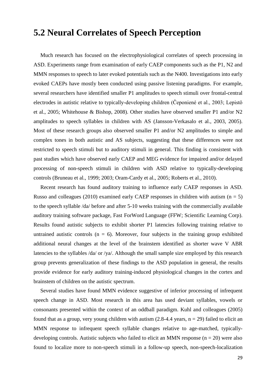### **5.2 Neural Correlates of Speech Perception**

 Much research has focused on the electrophysiological correlates of speech processing in ASD. Experiments range from examination of early CAEP components such as the P1, N2 and MMN responses to speech to later evoked potentials such as the N400. Investigations into early evoked CAEPs have mostly been conducted using passive listening paradigms. For example, several researchers have identified smaller P1 amplitudes to speech stimuli over frontal-central electrodes in autistic relative to typically-developing children (Čeponiené et al., 2003; Lepistö et al., 2005; Whitehouse & Bishop, 2008). Other studies have observed smaller P1 and/or N2 amplitudes to speech syllables in children with AS (Jansson-Verkasalo et al., 2003, 2005). Most of these research groups also observed smaller P1 and/or N2 amplitudes to simple and complex tones in both autistic and AS subjects, suggesting that these differences were not restricted to speech stimuli but to auditory stimuli in general. This finding is consistent with past studies which have observed early CAEP and MEG evidence for impaired and/or delayed processing of non-speech stimuli in children with ASD relative to typically-developing controls (Bruneau et al., 1999; 2003; Oram-Cardy et al., 2005; Roberts et al., 2010).

 Recent research has found auditory training to influence early CAEP responses in ASD. Russo and colleagues (2010) examined early CAEP responses in children with autism ( $n = 5$ ) to the speech syllable /da/ before and after 5-10 weeks training with the commercially available auditory training software package, Fast ForWord Language (FFW; Scientific Learning Corp). Results found autistic subjects to exhibit shorter P1 latencies following training relative to untrained autistic controls ( $n = 6$ ). Moreover, four subjects in the training group exhibited additional neural changes at the level of the brainstem identified as shorter wave V ABR latencies to the syllables /da/ or /ya/. Although the small sample size employed by this research group prevents generalization of these findings to the ASD population in general, the results provide evidence for early auditory training-induced physiological changes in the cortex and brainstem of children on the autistic spectrum.

 Several studies have found MMN evidence suggestive of inferior processing of infrequent speech change in ASD. Most research in this area has used deviant syllables, vowels or consonants presented within the context of an oddball paradigm. Kuhl and colleagues (2005) found that as a group, very young children with autism  $(2.8-4.4 \text{ years}, n = 29)$  failed to elicit an MMN response to infrequent speech syllable changes relative to age-matched, typicallydeveloping controls. Autistic subjects who failed to elicit an MMN response  $(n = 20)$  were also found to localize more to non-speech stimuli in a follow-up speech, non-speech-localization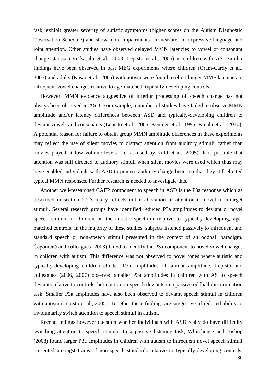task, exhibit greater severity of autistic symptoms (higher scores on the Autism Diagnostic Observation Schedule) and show more impairments on measures of expressive language and joint attention. Other studies have observed delayed MMN latencies to vowel or consonant change (Jansson-Verkasalo et al., 2003; Lepistö et al., 2006) in children with AS. Similar findings have been observed in past MEG experiments where children (Oram-Cardy et al., 2005) and adults (Kasai et al., 2005) with autism were found to elicit longer MMF latencies to infrequent vowel changes relative to age-matched, typically-developing controls.

 However, MMN evidence suggestive of inferior processing of speech change has not always been observed in ASD. For example, a number of studies have failed to observe MMN amplitude and/or latency differences between ASD and typically-developing children to deviant vowels and consonants (Lepistö et al., 2005, Kemner et al., 1995; Kujala et al., 2010). A potential reason for failure to obtain group MMN amplitude differences in these experiments may reflect the use of silent movies to distract attention from auditory stimuli, rather than movies played at low volume levels (i.e. as used by Kuhl et al., 2005). It is possible that attention was still directed to auditory stimuli when silent movies were used which thus may have enabled individuals with ASD to process auditory change better so that they still elicited typical MMN responses. Further research is needed to investigate this.

 Another well-researched CAEP component to speech in ASD is the P3a response which as described in section 2.2.3 likely reflects initial allocation of attention to novel, non-target stimuli. Several research groups have identified reduced P3a amplitudes to deviant or novel speech stimuli in children on the autistic spectrum relative to typically-developing, agematched controls. In the majority of these studies, subjects listened passively to infrequent and standard speech or non-speech stimuli presented in the context of an oddball paradigm. Čeponiené and colleagues (2003) failed to identify the P3a component to novel vowel changes in children with autism. This difference was not observed to novel tones where autistic and typically-developing children elicited P3a amplitudes of similar amplitude. Lepistö and colleagues (2006, 2007) observed smaller P3a amplitudes in children with AS to speech deviants relative to controls, but not to non-speech deviants in a passive oddball discrimination task. Smaller P3a amplitudes have also been observed to deviant speech stimuli in children with autism (Lepistö et al., 2005). Together these findings are suggestive of reduced ability to involuntarily switch attention to speech stimuli in autism.

 Recent findings however question whether individuals with ASD really do have difficulty switching attention to speech stimuli. In a passive listening task, Whitehouse and Bishop (2008) found larger P3a amplitudes in children with autism to infrequent novel speech stimuli presented amongst trains of non-speech standards relative to typically-developing controls.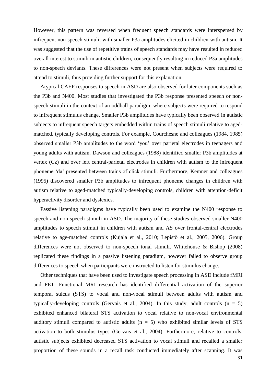However, this pattern was reversed when frequent speech standards were interspersed by infrequent non-speech stimuli, with smaller P3a amplitudes elicited in children with autism. It was suggested that the use of repetitive trains of speech standards may have resulted in reduced overall interest to stimuli in autistic children, consequently resulting in reduced P3a amplitudes to non-speech deviants. These differences were not present when subjects were required to attend to stimuli, thus providing further support for this explanation.

 Atypical CAEP responses to speech in ASD are also observed for later components such as the P3b and N400. Most studies that investigated the P3b response presented speech or nonspeech stimuli in the context of an oddball paradigm, where subjects were required to respond to infrequent stimulus change. Smaller P3b amplitudes have typically been observed in autistic subjects to infrequent speech targets embedded within trains of speech stimuli relative to agedmatched, typically developing controls. For example, Courchesne and colleagues (1984, 1985) observed smaller P3b amplitudes to the word ‗you' over parietal electrodes in teenagers and young adults with autism. Dawson and colleagues (1988) identified smaller P3b amplitudes at vertex (Cz) and over left central-parietal electrodes in children with autism to the infrequent phoneme ‗da' presented between trains of click stimuli. Furthermore, Kemner and colleagues (1995) discovered smaller P3b amplitudes to infrequent phoneme changes in children with autism relative to aged-matched typically-developing controls, children with attention-deficit hyperactivity disorder and dyslexics.

 Passive listening paradigms have typically been used to examine the N400 response to speech and non-speech stimuli in ASD. The majority of these studies observed smaller N400 amplitudes to speech stimuli in children with autism and AS over frontal-central electrodes relative to age-matched controls (Kujala et al., 2010; Lepistö et al., 2005, 2006). Group differences were not observed to non-speech tonal stimuli. Whitehouse & Bishop (2008) replicated these findings in a passive listening paradigm, however failed to observe group differences to speech when participants were instructed to listen for stimulus change.

 Other techniques that have been used to investigate speech processing in ASD include fMRI and PET. Functional MRI research has identified differential activation of the superior temporal sulcus (STS) to vocal and non-vocal stimuli between adults with autism and typically-developing controls (Gervais et al., 2004). In this study, adult controls  $(n = 5)$ exhibited enhanced bilateral STS activation to vocal relative to non-vocal environmental auditory stimuli compared to autistic adults  $(n = 5)$  who exhibited similar levels of STS activation to both stimulus types (Gervais et al., 2004). Furthermore, relative to controls, autistic subjects exhibited decreased STS activation to vocal stimuli and recalled a smaller proportion of these sounds in a recall task conducted immediately after scanning. It was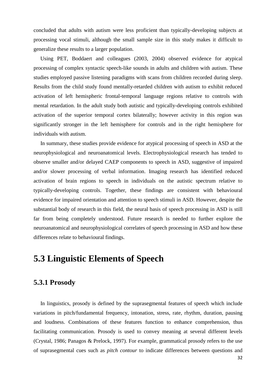concluded that adults with autism were less proficient than typically-developing subjects at processing vocal stimuli, although the small sample size in this study makes it difficult to generalize these results to a larger population.

 Using PET, Boddaert and colleagues (2003, 2004) observed evidence for atypical processing of complex syntactic speech-like sounds in adults and children with autism. These studies employed passive listening paradigms with scans from children recorded during sleep. Results from the child study found mentally-retarded children with autism to exhibit reduced activation of left hemispheric frontal-temporal language regions relative to controls with mental retardation. In the adult study both autistic and typically-developing controls exhibited activation of the superior temporal cortex bilaterally; however activity in this region was significantly stronger in the left hemisphere for controls and in the right hemisphere for individuals with autism.

 In summary, these studies provide evidence for atypical processing of speech in ASD at the neurophysiological and neuroanatomical levels. Electrophysiological research has tended to observe smaller and/or delayed CAEP components to speech in ASD, suggestive of impaired and/or slower processing of verbal information. Imaging research has identified reduced activation of brain regions to speech in individuals on the autistic spectrum relative to typically-developing controls. Together, these findings are consistent with behavioural evidence for impaired orientation and attention to speech stimuli in ASD. However, despite the substantial body of research in this field, the neural basis of speech processing in ASD is still far from being completely understood. Future research is needed to further explore the neuroanatomical and neurophysiological correlates of speech processing in ASD and how these differences relate to behavioural findings.

### **5.3 Linguistic Elements of Speech**

#### **5.3.1 Prosody**

 In linguistics, prosody is defined by the suprasegmental features of speech which include variations in pitch/fundamental frequency, intonation, stress, rate, rhythm, duration, pausing and loudness. Combinations of these features function to enhance comprehension, thus facilitating communication. Prosody is used to convey meaning at several different levels (Crystal, 1986; Panagos & Prelock, 1997). For example, grammatical prosody refers to the use of suprasegmental cues such as *pitch contour* to indicate differences between questions and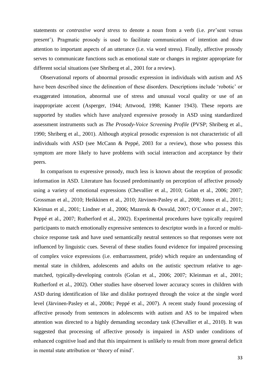statements or *contrastive word stress* to denote a noun from a verb (i.e. *pre*'sent versus pre*sent*'). Pragmatic prosody is used to facilitate communication of intention and draw attention to important aspects of an utterance (i.e. via word stress). Finally, affective prosody serves to communicate functions such as emotional state or changes in register appropriate for different social situations (see Shriberg et al., 2001 for a review).

 Observational reports of abnormal prosodic expression in individuals with autism and AS have been described since the delineation of these disorders. Descriptions include 'robotic' or exaggerated intonation, abnormal use of stress and unusual vocal quality or use of an inappropriate accent (Asperger, 1944; Attwood, 1998; Kanner 1943). These reports are supported by studies which have analyzed expressive prosody in ASD using standardized assessment instruments such as *The Prosody-Voice Screening Profile* (PVSP; Shriberg et al., 1990; Shriberg et al., 2001). Although atypical prosodic expression is not characteristic of all individuals with ASD (see McCann & Peppé, 2003 for a review), those who possess this symptom are more likely to have problems with social interaction and acceptance by their peers.

 In comparison to expressive prosody, much less is known about the reception of prosodic information in ASD. Literature has focused predominantly on perception of affective prosody using a variety of emotional expressions (Chevallier et al., 2010; Golan et al., 2006; 2007; Grossman et al., 2010; Heikkinen et al., 2010; Järvinen-Pasley et al., 2008; Jones et al., 2011; Kleiman et al., 2001; Lindner et al., 2006; Mazensk & Oswald, 2007; O'Connor et al., 2007; Peppé et al., 2007; Rutherford et al., 2002). Experimental procedures have typically required participants to match emotionally expressive sentences to descriptor words in a forced or multichoice response task and have used semantically neutral sentences so that responses were not influenced by linguistic cues. Several of these studies found evidence for impaired processing of complex voice expressions (i.e. embarrassment, pride) which require an understanding of mental state in children, adolescents and adults on the autistic spectrum relative to agematched, typically-developing controls (Golan et al., 2006; 2007; Kleinman et al., 2001; Rutherford et al., 2002). Other studies have observed lower accuracy scores in children with ASD during identification of like and dislike portrayed through the voice at the single word level (Järvinen-Pasley et al., 2008c; Peppé et al., 2007). A recent study found processing of affective prosody from sentences in adolescents with autism and AS to be impaired when attention was directed to a highly demanding secondary task (Chevallier et al., 2010). It was suggested that processing of affective prosody is impaired in ASD under conditions of enhanced cognitive load and that this impairment is unlikely to result from more general deficit in mental state attribution or 'theory of mind'.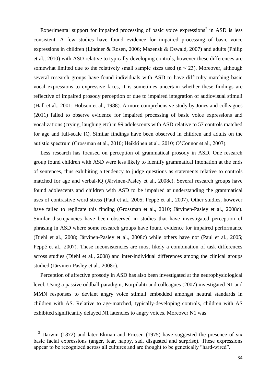Experimental support for impaired processing of basic voice expressions<sup>3</sup> in ASD is less consistent. A few studies have found evidence for impaired processing of basic voice expressions in children (Lindner & Rosen, 2006; Mazensk & Oswald, 2007) and adults (Philip et al., 2010) with ASD relative to typically-developing controls, however these differences are somewhat limited due to the relatively small sample sizes used  $(n \leq 23)$ . Moreover, although several research groups have found individuals with ASD to have difficulty matching basic vocal expressions to expressive faces, it is sometimes uncertain whether these findings are reflective of impaired prosody perception or due to impaired integration of audiovisual stimuli (Hall et al., 2001; Hobson et al., 1988). A more comprehensive study by Jones and colleagues (2011) failed to observe evidence for impaired processing of basic voice expressions and vocalizations (crying, laughing etc) in 99 adolescents with ASD relative to 57 controls matched for age and full-scale IQ. Similar findings have been observed in children and adults on the autistic spectrum (Grossman et al., 2010; Heikkinen et al., 2010; O'Connor et al., 2007).

 Less research has focused on perception of grammatical prosody in ASD. One research group found children with ASD were less likely to identify grammatical intonation at the ends of sentences, thus exhibiting a tendency to judge questions as statements relative to controls matched for age and verbal-IQ (Järvinen-Pasley et al., 2008c). Several research groups have found adolescents and children with ASD to be impaired at understanding the grammatical uses of contrastive word stress (Paul et al., 2005; Peppé et al., 2007). Other studies, however have failed to replicate this finding (Grossman et al., 2010; Järvinen-Pasley et al., 2008c). Similar discrepancies have been observed in studies that have investigated perception of phrasing in ASD where some research groups have found evidence for impaired performance (Diehl et al., 2008; Järvinen-Pasley et al., 2008c) while others have not (Paul et al., 2005; Peppé et al., 2007). These inconsistencies are most likely a combination of task differences across studies (Diehl et al., 2008) and inter-individual differences among the clinical groups studied (Järvinen-Pasley et al., 2008c).

 Perception of affective prosody in ASD has also been investigated at the neurophysiological level. Using a passive oddball paradigm, Korpilahti and colleagues (2007) investigated N1 and MMN responses to deviant angry voice stimuli embedded amongst neutral standards in children with AS. Relative to age-matched, typically-developing controls, children with AS exhibited significantly delayed N1 latencies to angry voices. Moreover N1 was

 $\overline{\phantom{a}}$  , where  $\overline{\phantom{a}}$ 

<sup>&</sup>lt;sup>3</sup> Darwin (1872) and later Ekman and Friesen (1975) have suggested the presence of six basic facial expressions (anger, fear, happy, sad, disgusted and surprise). These expressions appear to be recognized across all cultures and are thought to be genetically "hard-wired".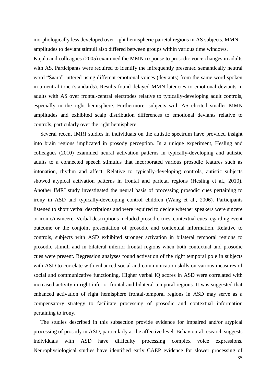morphologically less developed over right hemispheric parietal regions in AS subjects. MMN amplitudes to deviant stimuli also differed between groups within various time windows. Kujala and colleagues (2005) examined the MMN response to prosodic voice changes in adults with AS. Participants were required to identify the infrequently presented semantically neutral word "Saara", uttered using different emotional voices (deviants) from the same word spoken in a neutral tone (standards). Results found delayed MMN latencies to emotional deviants in adults with AS over frontal-central electrodes relative to typically-developing adult controls, especially in the right hemisphere. Furthermore, subjects with AS elicited smaller MMN amplitudes and exhibited scalp distribution differences to emotional deviants relative to controls, particularly over the right hemisphere.

 Several recent fMRI studies in individuals on the autistic spectrum have provided insight into brain regions implicated in prosody perception. In a unique experiment, Hesling and colleagues (2010) examined neural activation patterns in typically-developing and autistic adults to a connected speech stimulus that incorporated various prosodic features such as intonation, rhythm and affect. Relative to typically-developing controls, autistic subjects showed atypical activation patterns in frontal and parietal regions (Hesling et al., 2010). Another fMRI study investigated the neural basis of processing prosodic cues pertaining to irony in ASD and typically-developing control children (Wang et al., 2006). Participants listened to short verbal descriptions and were required to decide whether speakers were sincere or ironic/insincere. Verbal descriptions included prosodic cues, contextual cues regarding event outcome or the conjoint presentation of prosodic and contextual information. Relative to controls, subjects with ASD exhibited stronger activation in bilateral temporal regions to prosodic stimuli and in bilateral inferior frontal regions when both contextual and prosodic cues were present. Regression analyses found activation of the right temporal pole in subjects with ASD to correlate with enhanced social and communication skills on various measures of social and communicative functioning. Higher verbal IQ scores in ASD were correlated with increased activity in right inferior frontal and bilateral temporal regions. It was suggested that enhanced activation of right hemisphere frontal-temporal regions in ASD may serve as a compensatory strategy to facilitate processing of prosodic and contextual information pertaining to irony.

 The studies described in this subsection provide evidence for impaired and/or atypical processing of prosody in ASD, particularly at the affective level. Behavioural research suggests individuals with ASD have difficulty processing complex voice expressions. Neurophysiological studies have identified early CAEP evidence for slower processing of

35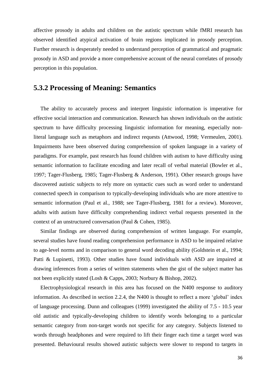affective prosody in adults and children on the autistic spectrum while fMRI research has observed identified atypical activation of brain regions implicated in prosody perception. Further research is desperately needed to understand perception of grammatical and pragmatic prosody in ASD and provide a more comprehensive account of the neural correlates of prosody perception in this population.

#### **5.3.2 Processing of Meaning: Semantics**

 The ability to accurately process and interpret linguistic information is imperative for effective social interaction and communication. Research has shown individuals on the autistic spectrum to have difficulty processing linguistic information for meaning, especially nonliteral language such as metaphors and indirect requests (Attwood, 1998; Vermeulen, 2001). Impairments have been observed during comprehension of spoken language in a variety of paradigms. For example, past research has found children with autism to have difficulty using semantic information to facilitate encoding and later recall of verbal material (Bowler et al., 1997; Tager-Flusberg, 1985; Tager-Flusberg & Anderson, 1991). Other research groups have discovered autistic subjects to rely more on syntactic cues such as word order to understand connected speech in comparison to typically-developing individuals who are more attentive to semantic information (Paul et al., 1988; see Tager-Flusberg, 1981 for a review). Moreover, adults with autism have difficulty comprehending indirect verbal requests presented in the context of an unstructured conversation (Paul & Cohen, 1985).

 Similar findings are observed during comprehension of written language. For example, several studies have found reading comprehension performance in ASD to be impaired relative to age-level norms and in comparison to general word decoding ability (Goldstein et al., 1994; Patti & Lupinetti, 1993). Other studies have found individuals with ASD are impaired at drawing inferences from a series of written statements when the gist of the subject matter has not been explicitly stated (Losh & Capps, 2003; Norbury & Bishop, 2002).

 Electrophysiological research in this area has focused on the N400 response to auditory information. As described in section 2.2.4, the N400 is thought to reflect a more 'global' index of language processing. Dunn and colleagues (1999) investigated the ability of 7.5 - 10.5 year old autistic and typically-developing children to identify words belonging to a particular semantic category from non-target words not specific for any category. Subjects listened to words through headphones and were required to lift their finger each time a target word was presented. Behavioural results showed autistic subjects were slower to respond to targets in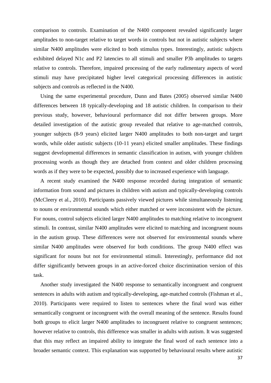comparison to controls. Examination of the N400 component revealed significantly larger amplitudes to non-target relative to target words in controls but not in autistic subjects where similar N400 amplitudes were elicited to both stimulus types. Interestingly, autistic subjects exhibited delayed N1c and P2 latencies to all stimuli and smaller P3b amplitudes to targets relative to controls. Therefore, impaired processing of the early rudimentary aspects of word stimuli may have precipitated higher level categorical processing differences in autistic subjects and controls as reflected in the N400.

 Using the same experimental procedure, Dunn and Bates (2005) observed similar N400 differences between 18 typically-developing and 18 autistic children. In comparison to their previous study, however, behavioural performance did not differ between groups. More detailed investigation of the autistic group revealed that relative to age-matched controls, younger subjects (8-9 years) elicited larger N400 amplitudes to both non-target and target words, while older autistic subjects (10-11 years) elicited smaller amplitudes. These findings suggest developmental differences in semantic classification in autism, with younger children processing words as though they are detached from context and older children processing words as if they were to be expected, possibly due to increased experience with language.

 A recent study examined the N400 response recorded during integration of semantic information from sound and pictures in children with autism and typically-developing controls (McCleery et al., 2010). Participants passively viewed pictures while simultaneously listening to nouns or environmental sounds which either matched or were inconsistent with the picture. For nouns, control subjects elicited larger N400 amplitudes to matching relative to incongruent stimuli. In contrast, similar N400 amplitudes were elicited to matching and incongruent nouns in the autism group. These differences were not observed for environmental sounds where similar N400 amplitudes were observed for both conditions. The group N400 effect was significant for nouns but not for environmental stimuli. Interestingly, performance did not differ significantly between groups in an active-forced choice discrimination version of this task.

 Another study investigated the N400 response to semantically incongruent and congruent sentences in adults with autism and typically-developing, age-matched controls (Fishman et al., 2010). Participants were required to listen to sentences where the final word was either semantically congruent or incongruent with the overall meaning of the sentence. Results found both groups to elicit larger N400 amplitudes to incongruent relative to congruent sentences; however relative to controls, this difference was smaller in adults with autism. It was suggested that this may reflect an impaired ability to integrate the final word of each sentence into a broader semantic context. This explanation was supported by behavioural results where autistic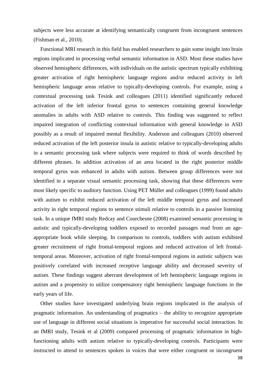subjects were less accurate at identifying semantically congruent from incongruent sentences (Fishman et al., 2010).

 Functional MRI research in this field has enabled researchers to gain some insight into brain regions implicated in processing verbal semantic information in ASD. Most these studies have observed hemispheric differences, with individuals on the autistic spectrum typically exhibiting greater activation of right hemispheric language regions and/or reduced activity in left hemispheric language areas relative to typically-developing controls. For example, using a contextual processing task Tesink and colleagues (2011) identified significantly reduced activation of the left inferior frontal gyrus to sentences containing general knowledge anomalies in adults with ASD relative to controls. This finding was suggested to reflect impaired integration of conflicting contextual information with general knowledge in ASD possibly as a result of impaired mental flexibility. Anderson and colleagues (2010) observed reduced activation of the left posterior insula in autistic relative to typically-developing adults in a semantic processing task where subjects were required to think of words described by different phrases. In addition activation of an area located in the right posterior middle temporal gyrus was enhanced in adults with autism. Between group differences were not identified in a separate visual semantic processing task, showing that these differences were most likely specific to auditory function. Using PET Müller and colleagues (1999) found adults with autism to exhibit reduced activation of the left middle temporal gyrus and increased activity in right temporal regions to sentence stimuli relative to controls in a passive listening task. In a unique fMRI study Redcay and Courchesne (2008) examined semantic processing in autistic and typically-developing toddlers exposed to recorded passages read from an ageappropriate book while sleeping. In comparison to controls, toddlers with autism exhibited greater recruitment of right frontal-temporal regions and reduced activation of left frontaltemporal areas. Moreover, activation of right frontal-temporal regions in autistic subjects was positively correlated with increased receptive language ability and decreased severity of autism. These findings suggest aberrant development of left hemispheric language regions in autism and a propensity to utilize compensatory right hemispheric language functions in the early years of life.

 Other studies have investigated underlying brain regions implicated in the analysis of pragmatic information. An understanding of pragmatics – the ability to recognize appropriate use of language in different social situations is imperative for successful social interaction. In an fMRI study, Tesink et al (2009) compared processing of pragmatic information in highfunctioning adults with autism relative to typically-developing controls. Participants were instructed to attend to sentences spoken in voices that were either congruent or incongruent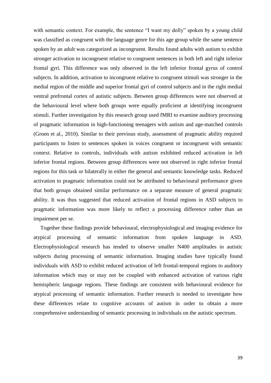with semantic context. For example, the sentence "I want my dolly" spoken by a young child was classified as congruent with the language genre for this age group while the same sentence spoken by an adult was categorized as incongruent. Results found adults with autism to exhibit stronger activation to incongruent relative to congruent sentences in both left and right inferior frontal gyri. This difference was only observed in the left inferior frontal gyrus of control subjects. In addition, activation to incongruent relative to congruent stimuli was stronger in the medial region of the middle and superior frontal gyri of control subjects and in the right medial ventral prefrontal cortex of autistic subjects. Between group differences were not observed at the behavioural level where both groups were equally proficient at identifying incongruent stimuli. Further investigation by this research group used fMRI to examine auditory processing of pragmatic information in high-functioning teenagers with autism and age-matched controls (Groen et al., 2010). Similar to their previous study, assessment of pragmatic ability required participants to listen to sentences spoken in voices congruent or incongruent with semantic context. Relative to controls, individuals with autism exhibited reduced activation in left inferior frontal regions. Between group differences were not observed in right inferior frontal regions for this task or bilaterally in either the general and semantic knowledge tasks. Reduced activation to pragmatic information could not be attributed to behavioural performance given that both groups obtained similar performance on a separate measure of general pragmatic ability. It was thus suggested that reduced activation of frontal regions in ASD subjects to pragmatic information was more likely to reflect a processing difference rather than an impairment per se.

 Together these findings provide behavioural, electrophysiological and imaging evidence for atypical processing of semantic information from spoken language in ASD. Electrophysiological research has tended to observe smaller N400 amplitudes in autistic subjects during processing of semantic information. Imaging studies have typically found individuals with ASD to exhibit reduced activation of left frontal-temporal regions to auditory information which may or may not be coupled with enhanced activation of various right hemispheric language regions. These findings are consistent with behavioural evidence for atypical processing of semantic information. Further research is needed to investigate how these differences relate to cognitive accounts of autism in order to obtain a more comprehensive understanding of semantic processing in individuals on the autistic spectrum.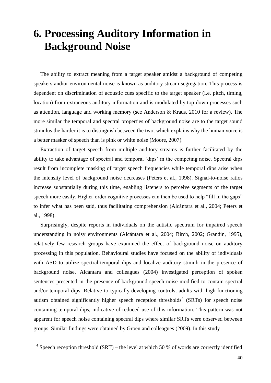## **6. Processing Auditory Information in Background Noise**

 The ability to extract meaning from a target speaker amidst a background of competing speakers and/or environmental noise is known as auditory stream segregation. This process is dependent on discrimination of acoustic cues specific to the target speaker (i.e. pitch, timing, location) from extraneous auditory information and is modulated by top-down processes such as attention, language and working memory (see Anderson & Kraus, 2010 for a review). The more similar the temporal and spectral properties of background noise are to the target sound stimulus the harder it is to distinguish between the two, which explains why the human voice is a better masker of speech than is pink or white noise (Moore, 2007).

 Extraction of target speech from multiple auditory streams is further facilitated by the ability to take advantage of spectral and temporal 'dips' in the competing noise. Spectral dips result from incomplete masking of target speech frequencies while temporal dips arise when the intensity level of background noise decreases (Peters et al., 1998). Signal-to-noise ratios increase substantially during this time, enabling listeners to perceive segments of the target speech more easily. Higher-order cognitive processes can then be used to help "fill in the gaps" to infer what has been said, thus facilitating comprehension (Alcántara et al., 2004; Peters et al., 1998).

 Surprisingly, despite reports in individuals on the autistic spectrum for impaired speech understanding in noisy environments (Alcántara et al., 2004; Birch, 2002; Grandin, 1995), relatively few research groups have examined the effect of background noise on auditory processing in this population. Behavioural studies have focused on the ability of individuals with ASD to utilize spectral-temporal dips and localize auditory stimuli in the presence of background noise. Alcántara and colleagues (2004) investigated perception of spoken sentences presented in the presence of background speech noise modified to contain spectral and/or temporal dips. Relative to typically-developing controls, adults with high-functioning autism obtained significantly higher speech reception thresholds<sup>4</sup> (SRTs) for speech noise containing temporal dips, indicative of reduced use of this information. This pattern was not apparent for speech noise containing spectral dips where similar SRTs were observed between groups. Similar findings were obtained by Groen and colleagues (2009). In this study

\_\_\_\_\_\_\_\_\_

<sup>&</sup>lt;sup>4</sup> Speech reception threshold (SRT) – the level at which 50 % of words are correctly identified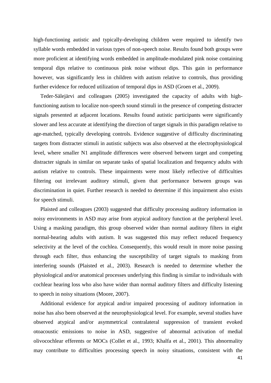high-functioning autistic and typically-developing children were required to identify two syllable words embedded in various types of non-speech noise. Results found both groups were more proficient at identifying words embedded in amplitude-modulated pink noise containing temporal dips relative to continuous pink noise without dips. This gain in performance however, was significantly less in children with autism relative to controls, thus providing further evidence for reduced utilization of temporal dips in ASD (Groen et al., 2009).

 Teder-Sälejärvi and colleagues (2005) investigated the capacity of adults with highfunctioning autism to localize non-speech sound stimuli in the presence of competing distracter signals presented at adjacent locations. Results found autistic participants were significantly slower and less accurate at identifying the direction of target signals in this paradigm relative to age-matched, typically developing controls. Evidence suggestive of difficulty discriminating targets from distracter stimuli in autistic subjects was also observed at the electrophysiological level, where smaller N1 amplitude differences were observed between target and competing distracter signals in similar on separate tasks of spatial localization and frequency adults with autism relative to controls. These impairments were most likely reflective of difficulties filtering out irrelevant auditory stimuli, given that performance between groups was discrimination in quiet. Further research is needed to determine if this impairment also exists for speech stimuli.

 Plaisted and colleagues (2003) suggested that difficulty processing auditory information in noisy environments in ASD may arise from atypical auditory function at the peripheral level. Using a masking paradigm, this group observed wider than normal auditory filters in eight normal-hearing adults with autism. It was suggested this may reflect reduced frequency selectivity at the level of the cochlea. Consequently, this would result in more noise passing through each filter, thus enhancing the susceptibility of target signals to masking from interfering sounds (Plaisted et al., 2003). Research is needed to determine whether the physiological and/or anatomical processes underlying this finding is similar to individuals with cochlear hearing loss who also have wider than normal auditory filters and difficulty listening to speech in noisy situations (Moore, 2007).

 Additional evidence for atypical and/or impaired processing of auditory information in noise has also been observed at the neurophysiological level. For example, several studies have observed atypical and/or asymmetrical contralateral suppression of transient evoked otoacoustic emissions to noise in ASD, suggestive of abnormal activation of medial olivocochlear efferents or MOCs (Collet et al., 1993; Khalfa et al., 2001). This abnormality may contribute to difficulties processing speech in noisy situations, consistent with the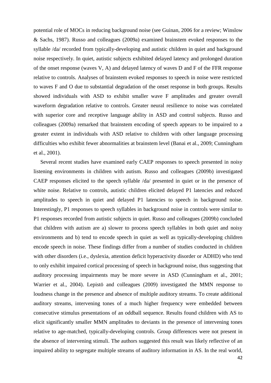potential role of MOCs in reducing background noise (see Guinan, 2006 for a review; Winslow & Sachs, 1987). Russo and colleagues (2009a) examined brainstem evoked responses to the syllable /da/ recorded from typically-developing and autistic children in quiet and background noise respectively. In quiet, autistic subjects exhibited delayed latency and prolonged duration of the onset response (waves V, A) and delayed latency of waves D and F of the FFR response relative to controls. Analyses of brainstem evoked responses to speech in noise were restricted to waves F and O due to substantial degradation of the onset response in both groups. Results showed individuals with ASD to exhibit smaller wave F amplitudes and greater overall waveform degradation relative to controls. Greater neural resilience to noise was correlated with superior core and receptive language ability in ASD and control subjects. Russo and colleagues (2009a) remarked that brainstem encoding of speech appears to be impaired to a greater extent in individuals with ASD relative to children with other language processing difficulties who exhibit fewer abnormalities at brainstem level (Banai et al., 2009; Cunningham et al., 2001).

 Several recent studies have examined early CAEP responses to speech presented in noisy listening environments in children with autism. Russo and colleagues (2009b) investigated CAEP responses elicited to the speech syllable /da/ presented in quiet or in the presence of white noise. Relative to controls, autistic children elicited delayed P1 latencies and reduced amplitudes to speech in quiet and delayed P1 latencies to speech in background noise. Interestingly, P1 responses to speech syllables in background noise in controls were similar to P1 responses recorded from autistic subjects in quiet. Russo and colleagues (2009b) concluded that children with autism are a) slower to process speech syllables in both quiet and noisy environments and b) tend to encode speech in quiet as well as typically-developing children encode speech in noise. These findings differ from a number of studies conducted in children with other disorders (i.e., dyslexia, attention deficit hyperactivity disorder or ADHD) who tend to only exhibit impaired cortical processing of speech in background noise, thus suggesting that auditory processing impairments may be more severe in ASD (Cunningham et al., 2001; Warrier et al., 2004). Lepistö and colleagues (2009) investigated the MMN response to loudness change in the presence and absence of multiple auditory streams. To create additional auditory streams, intervening tones of a much higher frequency were embedded between consecutive stimulus presentations of an oddball sequence. Results found children with AS to elicit significantly smaller MMN amplitudes to deviants in the presence of intervening tones relative to age-matched, typically-developing controls. Group differences were not present in the absence of intervening stimuli. The authors suggested this result was likely reflective of an impaired ability to segregate multiple streams of auditory information in AS. In the real world,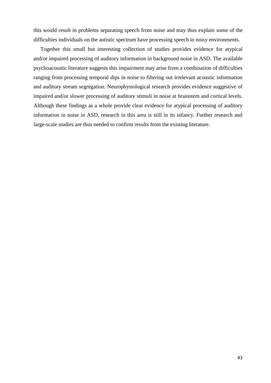this would result in problems separating speech from noise and may thus explain some of the difficulties individuals on the autistic spectrum have processing speech in noisy environments.

 Together this small but interesting collection of studies provides evidence for atypical and/or impaired processing of auditory information in background noise in ASD. The available psychoacoustic literature suggests this impairment may arise from a combination of difficulties ranging from processing temporal dips in noise to filtering out irrelevant acoustic information and auditory stream segregation. Neurophysiological research provides evidence suggestive of impaired and/or slower processing of auditory stimuli in noise at brainstem and cortical levels. Although these findings as a whole provide clear evidence for atypical processing of auditory information in noise in ASD, research in this area is still in its infancy. Further research and large-scale studies are thus needed to confirm results from the existing literature.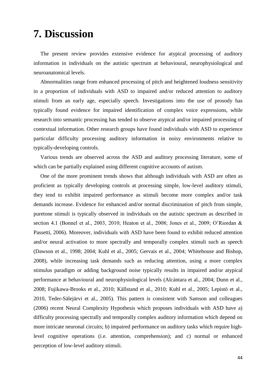## **7. Discussion**

 The present review provides extensive evidence for atypical processing of auditory information in individuals on the autistic spectrum at behavioural, neurophysiological and neuroanatomical levels.

 Abnormalities range from enhanced processing of pitch and heightened loudness sensitivity in a proportion of individuals with ASD to impaired and/or reduced attention to auditory stimuli from an early age, especially speech. Investigations into the use of prosody has typically found evidence for impaired identification of complex voice expressions, while research into semantic processing has tended to observe atypical and/or impaired processing of contextual information. Other research groups have found individuals with ASD to experience particular difficulty processing auditory information in noisy environments relative to typically-developing controls.

 Various trends are observed across the ASD and auditory processing literature, some of which can be partially explained using different cognitive accounts of autism.

 One of the more prominent trends shows that although individuals with ASD are often as proficient as typically developing controls at processing simple, low-level auditory stimuli, they tend to exhibit impaired performance as stimuli become more complex and/or task demands increase. Evidence for enhanced and/or normal discrimination of pitch from simple, puretone stimuli is typically observed in individuals on the autistic spectrum as described in section 4.1 (Bonnel et al., 2003, 2010; Heaton et al., 2008; Jones et al., 2009; O'Riordan & Passetti, 2006). Moreover, individuals with ASD have been found to exhibit reduced attention and/or neural activation to more spectrally and temporally complex stimuli such as speech (Dawson et al., 1998; 2004; Kuhl et al., 2005; Gervais et al., 2004; Whitehouse and Bishop, 2008), while increasing task demands such as reducing attention, using a more complex stimulus paradigm or adding background noise typically results in impaired and/or atypical performance at behavioural and neurophysiological levels (Alcántara et al., 2004; Dunn et al., 2008; Fujikawa-Brooks et al., 2010; Källstand et al., 2010; Kuhl et al., 2005; Lepistö et al., 2010, Teder-Sälejärvi et al., 2005). This pattern is consistent with Samson and colleagues (2006) recent Neural Complexity Hypothesis which proposes individuals with ASD have a) difficulty processing spectrally and temporally complex auditory information which depend on more intricate neuronal circuits; b) impaired performance on auditory tasks which require highlevel cognitive operations (i.e. attention, comprehension); and c) normal or enhanced perception of low-level auditory stimuli.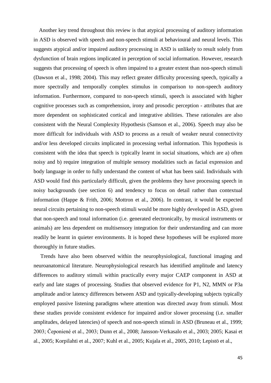Another key trend throughout this review is that atypical processing of auditory information in ASD is observed with speech and non-speech stimuli at behavioural and neural levels. This suggests atypical and/or impaired auditory processing in ASD is unlikely to result solely from dysfunction of brain regions implicated in perception of social information. However, research suggests that processing of speech is often impaired to a greater extent than non-speech stimuli (Dawson et al., 1998; 2004). This may reflect greater difficulty processing speech, typically a more spectrally and temporally complex stimulus in comparison to non-speech auditory information. Furthermore, compared to non-speech stimuli, speech is associated with higher cognitive processes such as comprehension, irony and prosodic perception - attributes that are more dependent on sophisticated cortical and integrative abilities. These rationales are also consistent with the Neural Complexity Hypothesis (Samson et al., 2006). Speech may also be more difficult for individuals with ASD to process as a result of weaker neural connectivity and/or less developed circuits implicated in processing verbal information. This hypothesis is consistent with the idea that speech is typically learnt in social situations, which are a) often noisy and b) require integration of multiple sensory modalities such as facial expression and body language in order to fully understand the content of what has been said. Individuals with ASD would find this particularly difficult, given the problems they have processing speech in noisy backgrounds (see section 6) and tendency to focus on detail rather than contextual information (Happe & Frith, 2006; Mottron et al., 2006). In contrast, it would be expected neural circuits pertaining to non-speech stimuli would be more highly developed in ASD, given that non-speech and tonal information (i.e. generated electronically, by musical instruments or animals) are less dependent on multisensory integration for their understanding and can more readily be learnt in quieter environments. It is hoped these hypotheses will be explored more thoroughly in future studies.

 Trends have also been observed within the neurophysiological, functional imaging and neuroanatomical literature. Neurophysiological research has identified amplitude and latency differences to auditory stimuli within practically every major CAEP component in ASD at early and late stages of processing. Studies that observed evidence for P1, N2, MMN or P3a amplitude and/or latency differences between ASD and typically-developing subjects typically employed passive listening paradigms where attention was directed away from stimuli. Most these studies provide consistent evidence for impaired and/or slower processing (i.e. smaller amplitudes, delayed latencies) of speech and non-speech stimuli in ASD (Bruneau et al., 1999; 2003; Čeponiené et al., 2003; Dunn et al., 2008; Jansson-Verkasalo et al., 2003; 2005; Kasai et al., 2005; Korpilahti et al., 2007; Kuhl et al., 2005; Kujala et al., 2005, 2010; Lepistö et al.,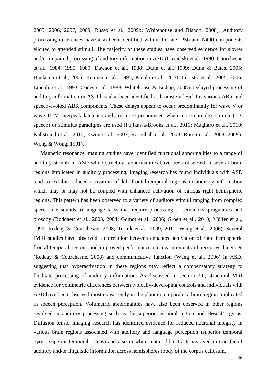2005, 2006, 2007, 2009; Russo et al., 2009b; Whitehouse and Bishop, 2008). Auditory processing differences have also been identified within the later P3b and N400 components elicited to attended stimuli. The majority of these studies have observed evidence for slower and/or impaired processing of auditory information in ASD (Ciesielski et al., 1990; Courchesne et al., 1984, 1985, 1989; Dawson et al., 1988; Dunn et al., 1999; Dunn & Bates, 2005; Hoeksma et al., 2006; Kemner et al., 1995; Kujala et al., 2010; Lepistö et al., 2005, 2006; Lincoln et al., 1993; Oades et al., 1988; Whitehouse & Bishop, 2008). Delayed processing of auditory information in ASD has also been identified at brainstem level for various ABR and speech-evoked ABR components. These delays appear to occur predominantly for wave V or wave III-V interpeak latencies and are more pronounced when more complex stimuli (e.g. speech) or stimulus paradigms are used (Fujikawa-Brooks et al., 2010; Magliaro et al., 2010; Källstrand et al., 2010; Kwon et al., 2007; Rosenhall et al., 2003; Russo et al., 2008, 2009a; Wong & Wong, 1991).

 Magnetic resonance imaging studies have identified functional abnormalities to a range of auditory stimuli in ASD while structural abnormalities have been observed in several brain regions implicated in auditory processing. Imaging research has found individuals with ASD tend to exhibit reduced activation of left frontal-temporal regions to auditory information which may or may not be coupled with enhanced activation of various right hemispheric regions. This pattern has been observed to a variety of auditory stimuli ranging from complex speech-like sounds to language tasks that require processing of semantics, pragmatics and prosody (Boddaert et al., 2003, 2004; Gomot et al., 2006; Groen et al., 2010; Müller et al., 1999; Redcay & Courchesne, 2008; Tesink et al., 2009, 2011; Wang et al., 2006). Several fMRI studies have observed a correlation between enhanced activation of right hemispheric frontal-temporal regions and improved performance on measurements of receptive language (Redcay & Courchesne, 2008) and communicative function (Wang et al., 2006) in ASD, suggesting that hyperactivation in these regions may reflect a compensatory strategy to facilitate processing of auditory information. As discussed in section 3.0, structural MRI evidence for volumetric differences between typically-developing controls and individuals with ASD have been observed most consistently in the planum temporale, a brain region implicated in speech perception. Volumetric abnormalities have also been observed in other regions involved in auditory processing such as the superior temporal region and Heschl's gyrus. Diffusion tensor imaging research has identified evidence for reduced neuronal integrity in various brain regions associated with auditory and language perception (superior temporal gyrus, superior temporal sulcus) and also in white matter fibre tracts involved in transfer of auditory and/or linguistic information across hemispheres (body of the corpus callosum,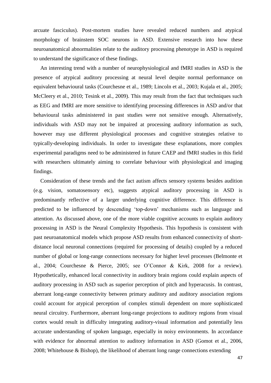arcuate fasciculus). Post-mortem studies have revealed reduced numbers and atypical morphology of brainstem SOC neurons in ASD. Extensive research into how these neuroanatomical abnormalities relate to the auditory processing phenotype in ASD is required to understand the significance of these findings.

 An interesting trend with a number of neurophysiological and fMRI studies in ASD is the presence of atypical auditory processing at neural level despite normal performance on equivalent behavioural tasks (Courchesne et al., 1989; Lincoln et al., 2003; Kujala et al., 2005; McCleery et al., 2010; Tesink et al., 2009). This may result from the fact that techniques such as EEG and fMRI are more sensitive to identifying processing differences in ASD and/or that behavioural tasks administered in past studies were not sensitive enough. Alternatively, individuals with ASD may not be impaired at processing auditory information as such, however may use different physiological processes and cognitive strategies relative to typically-developing individuals. In order to investigate these explanations, more complex experimental paradigms need to be administered in future CAEP and fMRI studies in this field with researchers ultimately aiming to correlate behaviour with physiological and imaging findings.

 Consideration of these trends and the fact autism affects sensory systems besides audition (e.g. vision, somatosensory etc), suggests atypical auditory processing in ASD is predominantly reflective of a larger underlying cognitive difference. This difference is predicted to be influenced by descending 'top-down' mechanisms such as language and attention. As discussed above, one of the more viable cognitive accounts to explain auditory processing in ASD is the Neural Complexity Hypothesis. This hypothesis is consistent with past neuroanatomical models which propose ASD results from enhanced connectivity of shortdistance local neuronal connections (required for processing of details) coupled by a reduced number of global or long-range connections necessary for higher level processes (Belmonte et al., 2004; Courchesne & Pierce, 2005; see O'Connor & Kirk, 2008 for a review). Hypothetically, enhanced local connectivity in auditory brain regions could explain aspects of auditory processing in ASD such as superior perception of pitch and hyperacusis. In contrast, aberrant long-range connectivity between primary auditory and auditory association regions could account for atypical perception of complex stimuli dependent on more sophisticated neural circuitry. Furthermore, aberrant long-range projections to auditory regions from visual cortex would result in difficulty integrating auditory-visual information and potentially less accurate understanding of spoken language, especially in noisy environments. In accordance with evidence for abnormal attention to auditory information in ASD (Gomot et al., 2006, 2008; Whitehouse & Bishop), the likelihood of aberrant long range connections extending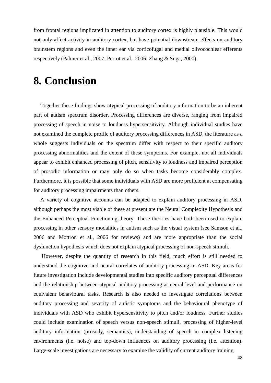from frontal regions implicated in attention to auditory cortex is highly plausible. This would not only affect activity in auditory cortex, but have potential downstream effects on auditory brainstem regions and even the inner ear via corticofugal and medial olivocochlear efferents respectively (Palmer et al., 2007; Perrot et al., 2006; Zhang & Suga, 2000).

### **8. Conclusion**

 Together these findings show atypical processing of auditory information to be an inherent part of autism spectrum disorder. Processing differences are diverse, ranging from impaired processing of speech in noise to loudness hypersensitivity. Although individual studies have not examined the complete profile of auditory processing differences in ASD, the literature as a whole suggests individuals on the spectrum differ with respect to their specific auditory processing abnormalities and the extent of these symptoms. For example, not all individuals appear to exhibit enhanced processing of pitch, sensitivity to loudness and impaired perception of prosodic information or may only do so when tasks become considerably complex. Furthermore, it is possible that some individuals with ASD are more proficient at compensating for auditory processing impairments than others.

 A variety of cognitive accounts can be adapted to explain auditory processing in ASD, although perhaps the most viable of these at present are the Neural Complexity Hypothesis and the Enhanced Perceptual Functioning theory. These theories have both been used to explain processing in other sensory modalities in autism such as the visual system (see Samson et al., 2006 and Mottron et al., 2006 for reviews) and are more appropriate than the social dysfunction hypothesis which does not explain atypical processing of non-speech stimuli.

 However, despite the quantity of research in this field, much effort is still needed to understand the cognitive and neural correlates of auditory processing in ASD. Key areas for future investigation include developmental studies into specific auditory perceptual differences and the relationship between atypical auditory processing at neural level and performance on equivalent behavioural tasks. Research is also needed to investigate correlations between auditory processing and severity of autistic symptoms and the behavioural phenotype of individuals with ASD who exhibit hypersensitivity to pitch and/or loudness. Further studies could include examination of speech versus non-speech stimuli, processing of higher-level auditory information (prosody, semantics), understanding of speech in complex listening environments (i.e. noise) and top-down influences on auditory processing (i.e. attention). Large-scale investigations are necessary to examine the validity of current auditory training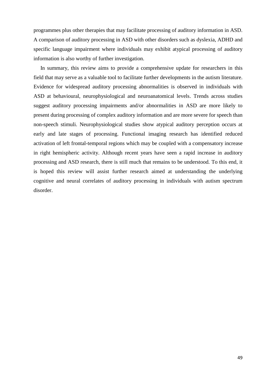programmes plus other therapies that may facilitate processing of auditory information in ASD. A comparison of auditory processing in ASD with other disorders such as dyslexia, ADHD and specific language impairment where individuals may exhibit atypical processing of auditory information is also worthy of further investigation.

 In summary, this review aims to provide a comprehensive update for researchers in this field that may serve as a valuable tool to facilitate further developments in the autism literature. Evidence for widespread auditory processing abnormalities is observed in individuals with ASD at behavioural, neurophysiological and neuroanatomical levels. Trends across studies suggest auditory processing impairments and/or abnormalities in ASD are more likely to present during processing of complex auditory information and are more severe for speech than non-speech stimuli. Neurophysiological studies show atypical auditory perception occurs at early and late stages of processing. Functional imaging research has identified reduced activation of left frontal-temporal regions which may be coupled with a compensatory increase in right hemispheric activity. Although recent years have seen a rapid increase in auditory processing and ASD research, there is still much that remains to be understood. To this end, it is hoped this review will assist further research aimed at understanding the underlying cognitive and neural correlates of auditory processing in individuals with autism spectrum disorder.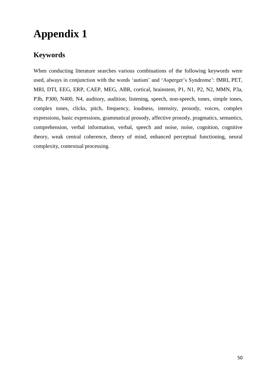# **Appendix 1**

#### **Keywords**

When conducting literature searches various combinations of the following keywords were used, always in conjunction with the words 'autism' and 'Asperger's Syndrome': fMRI, PET, MRI, DTI, EEG, ERP, CAEP, MEG, ABR, cortical, brainstem, P1, N1, P2, N2, MMN, P3a, P3b, P300, N400, N4, auditory, audition, listening, speech, non-speech, tones, simple tones, complex tones, clicks, pitch, frequency, loudness, intensity, prosody, voices, complex expressions, basic expressions, grammatical prosody, affective prosody, pragmatics, semantics, comprehension, verbal information, verbal, speech and noise, noise, cognition, cognitive theory, weak central coherence, theory of mind, enhanced perceptual functioning, neural complexity, contextual processing.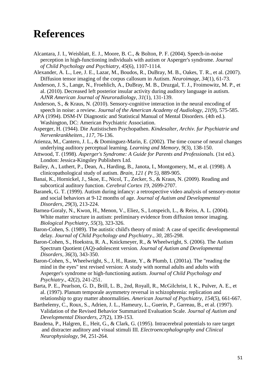## **References**

- Alcantara, J. I., Weisblatt, E. J., Moore, B. C., & Bolton, P. F. (2004). Speech-in-noise perception in high-functioning individuals with autism or Asperger's syndrome. *Journal of Child Psychology and Psychiatry, 45*(6), 1107-1114.
- Alexander, A. L., Lee, J. E., Lazar, M., Boudos, R., DuBray, M. B., Oakes, T. R., et al. (2007). Diffusion tensor imaging of the corpus callosum in Autism. *Neuroimage, 34*(1), 61-73.
- Anderson, J. S., Lange, N., Froehlich, A., DuBray, M. B., Druzgal, T. J., Froimowitz, M. P., et al. (2010). Decreased left posterior insular activity during auditory language in autism. *AJNR American Journal of Neuroradiology, 31*(1), 131-139.
- Anderson, S., & Kraus, N. (2010). Sensory-cognitive interaction in the neural encoding of speech in noise: a review. *Journal of the American Academy of Audiology, 21*(9), 575-585.
- APA (1994). DSM-IV Diagnostic and Statistical Manual of Mental Disorders. (4th ed.). Washington, DC: American Psychiatric Association.
- Asperger, H. (1944). Die Autistischen Psychopathen. *Kindesalter, Archiv. fur Psychiatrie und Nervenkrankheiten., 117*, 76-136.
- Atienza, M., Cantero, J. L., & Dominguez-Marin, E. (2002). The time course of neural changes underlying auditory perceptual learning. *Learning and Memory, 9*(3), 138-150.
- Attwood, T. (1998). *Asperger's Syndrome: A Guide for Parents and Professionals.* (1st ed.). London: Jessica-Kingsley Publishers Ltd.
- Bailey, A., Luthert, P., Dean, A., Harding, B., Janota, I., Montgomery, M., et al. (1998). A clinicopathological study of autism. *Brain, 121 ( Pt 5)*, 889-905.
- Banai, K., Hornickel, J., Skoe, E., Nicol, T., Zecker, S., & Kraus, N. (2009). Reading and subcortical auditory function. *Cerebral Cortex 19*, 2699-2707.
- Baranek, G. T. (1999). Autism during infancy: a retrospective video analysis of sensory-motor and social behaviors at 9-12 months of age. *Journal of Autism and Developmental Disorders, 29*(3), 213-224.
- Barnea-Goraly, N., Kwon, H., Menon, V., Eliez, S., Lotspeich, L., & Reiss, A. L. (2004). White matter structure in autism: preliminary evidence from diffusion tensor imaging. *Biological Psychiatry, 55*(3), 323-326.
- Baron-Cohen, S. (1989). The autistic child's theory of mind: A case of specific developmental delay. *Journal of Child Psychology and Psychiatry., 30*, 285-298.
- Baron-Cohen, S., Hoekstra, R. A., Knickmeyer, R., & Wheelwright, S. (2006). The Autism Spectrum Quotient (AQ)-adolescent version. *Journal of Autism and Developmental Disorders, 36*(3), 343-350.
- Baron-Cohen, S., Wheelwright, S., J, H., Raste, Y., & Plumb, I. (2001a). The "reading the mind in the eyes" test revised version: A study with normal adults and adults with Asperger's syndrome or high-functioning autism. *Journal of Child Psychology and Psychiatry., 42*(2), 241-251.
- Barta, P. E., Pearlson, G. D., Brill, L. B., 2nd, Royall, R., McGilchrist, I. K., Pulver, A. E., et al. (1997). Planum temporale asymmetry reversal in schizophrenia: replication and relationship to gray matter abnormalities. *American Journal of Psychiatry, 154*(5), 661-667.
- Barthelemy, C., Roux, S., Adrien, J. L., Hameury, L., Guerin, P., Garreau, B., et al. (1997). Validation of the Revised Behavior Summarized Evaluation Scale. *Journal of Autism and Developmental Disorders, 27*(2), 139-153.
- Baudena, P., Halgren, E., Heit, G., & Clark, G. (1995). Intracerebral potentials to rare target and distracter auditory and visual stimuli III. *Electroencephalography and Clinical Neurophysiology, 94*, 251-264.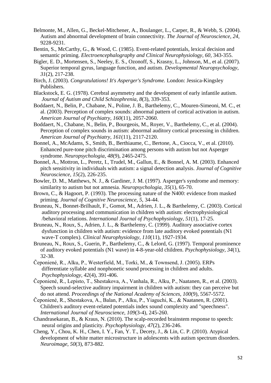- Belmonte, M., Allen, G., Beckel-Mitchener, A., Boulanger, L., Carper, R., & Webb, S. (2004). Autism and abnormal development of brain connectivity. *The Journal of Neuroscience, 24*, 9228-9231.
- Bentin, S., McCarthy, G., & Wood, C. (1985). Event-related potentials, lexical decision and semantic priming. *Electroencephalography and Clinical Neurophysiology, 60*, 343-355.
- Bigler, E. D., Mortensen, S., Neeley, E. S., Ozonoff, S., Krasny, L., Johnson, M., et al. (2007). Superior temporal gyrus, language function, and autism. *Developmental Neuropsychology, 31*(2), 217-238.
- Birch, J. (2003). *Congratulations! It's Asperger's Syndrome.* London: Jessica-Kingsley Publishers.
- Blackstock, E. G. (1978). Cerebral asymmetry and the development of early infantile autism. *Journal of Autism and Child Schizophrenia, 8*(3), 339-353.
- Boddaert, N., Belin, P., Chabane, N., Poline, J. B., Barthelemy, C., Mouren-Simeoni, M. C., et al. (2003). Perception of complex sounds: abnormal pattern of cortical activation in autism. *American Journal of Psychiatry, 160*(11), 2057-2060.
- Boddaert, N., Chabane, N., Belin, P., Bourgeois, M., Royer, V., Barthelemy, C., et al. (2004). Perception of complex sounds in autism: abnormal auditory cortical processing in children. *American Journal of Psychiatry, 161*(11), 2117-2120.
- Bonnel, A., McAdams, S., Smith, B., Berthiaume, C., Bertone, A., Ciocca, V., et al. (2010). Enhanced pure-tone pitch discrimination among persons with autism but not Asperger syndrome. *Neuropsychologia, 48*(9), 2465-2475.
- Bonnel, A., Mottron, L., Peretz, I., Trudel, M., Gallun, E., & Bonnel, A. M. (2003). Enhanced pitch sensitivity in individuals with autism: a signal detection analysis. *Journal of Cognitive Neuroscience, 15*(2), 226-235.
- Bowler, D. M., Matthews, N. J., & Gardiner, J. M. (1997). Asperger's syndrome and memory: similarity to autism but not amnesia. *Neuropsychologia, 35*(1), 65-70.
- Brown, C., & Hagoort, P. (1993). The processing nature of the N400: evidence from masked priming. *Journal of Cognitive Neuroscience, 5*, 34-44.
- Bruneau, N., Bonnet-Brilhault, F., Gomot, M., Adrien, J. L., & Barthelemy, C. (2003). Cortical auditory processing and communication in children with autism: electrophysiological /behavioral relations. *International Journal of Psychophysiology, 51*(1), 17-25.
- Bruneau, N., Roux, S., Adrien, J. L., & Barthelemy, C. (1999). Auditory associative cortex dysfunction in children with autism: evidence from late auditory evoked potentials (N1 wave-T complex). *Clinical Neurophysiology, 110*(11), 1927-1934.
- Bruneau, N., Roux, S., Guerin, P., Barthelemy, C., & Lelord, G. (1997). Temporal prominence of auditory evoked potentials (N1 wave) in 4-8-year-old children. *Psychophysiology, 34*(1), 32-38.
- Čeponiené, R., Alku, P., Westerfield, M., Torki, M., & Townsend, J. (2005). ERPs differentiate syllable and nonphonetic sound processing in children and adults. *Psychophysiology, 42*(4), 391-406.
- Čeponiené, R., Lepisto, T., Shestakova, A., Vanhala, R., Alku, P., Naatanen, R., et al. (2003). Speech sound-selective auditory impairment in children with autism: they can perceive but do not attend. *Proceedings of the National Academy of Sciences, 100*(9), 5567-5572.
- Čeponiené, R., Shestakova, A., Balan, P., Alku, P., Yiaguchi, K., & Naatanen, R. (2001). Children's auditory event-related potentials index sound complexity and "speechness". *International Journal of Neuroscience, 109*(3-4), 245-260.
- Chandrasekaran, B., & Kraus, N. (2010). The scalp-recorded brainstem response to speech: neural origins and plasticity. *Psychophysiology, 47*(2), 236-246.
- Cheng, Y., Chou, K. H., Chen, I. Y., Fan, Y. T., Decety, J., & Lin, C. P. (2010). Atypical development of white matter microstructure in adolescents with autism spectrum disorders. *Neuroimage, 50*(3), 873-882.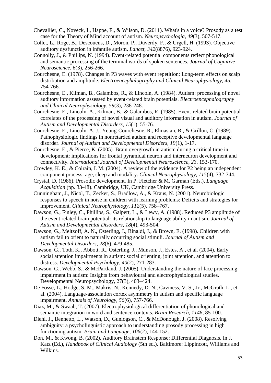- Chevallier, C., Noveck, I., Happe, F., & Wilson, D. (2011). What's in a voice? Prosody as a test case for the Theory of Mind account of autism. *Neuropsychologia, 49*(3), 507-517.
- Collet, L., Roge, B., Descouens, D., Moron, P., Duverdy, F., & Urgell, H. (1993). Objective auditory dysfunction in infantile autism. *Lancet, 342*(8876), 923-924.
- Connolly, J., & Phillips, N. (1994). Event-related potential components reflect phonological and semantic processing of the terminal words of spoken sentences. *Journal of Cognitive Neuroscience, 6*(3), 256-266.
- Courchesne, E. (1978). Changes in P3 waves with event repetition: Long-term effects on scalp distribution and amplitude. *Electroencephalography and Clinical Neurophysiology, 45*, 754-766.
- Courchesne, E., Kilman, B., Galambos, R., & Lincoln, A. (1984). Autism: processing of novel auditory information assessed by event-related brain potentials. *Electroencephalography and Clinical Neurophysiology, 59*(3), 238-248.
- Courchesne, E., Lincoln, A., Kilman, B., & Galambos, R. (1985). Event-related brain potential correlates of the processing of novel visual and auditory information in autism. *Journal of Autism and Developmental Disorders, 15*(1), 55-76.
- Courchesne, E., Lincoln, A. J., Yeung-Courchesne, R., Elmasian, R., & Grillon, C. (1989). Pathophysiologic findings in nonretarded autism and receptive developmental language disorder. *Journal of Autism and Developmental Disorders, 19*(1), 1-17.
- Courchesne, E., & Pierce, K. (2005). Brain overgrowth in autism during a critical time in development: implications for frontal pyramidal neuron and interneuron development and connectivity. *International Journal of Developmental Neuroscience, 23*, 153-170.
- Crowley, K. E., & Colrain, I. M. (2004). A review of the evidence for P2 being an independent component process: age, sleep and modality. *Clinical Neurophysiology, 115*(4), 732-744.
- Crystal, D. (1986). Prosodic development. In P. Fletcher & M. Garman (Eds.), *Language Acquisition* (pp. 33-48). Cambridge, UK, Cambridge University Press.
- Cunningham, J., Nicol, T., Zecker, S., Bradlow, A., & Kraus, N. (2001). Neurobiologic responses to speech in noise in children with learning problems: Deficits and strategies for improvement. *Clinical Neurophysiology, 112*(5), 758–767.
- Dawson, G., Finley, C., Phillips, S., Galpert, L., & Lewy, A. (1988). Reduced P3 amplitude of the event related brain potential: its relationship to language ability in autism. *Journal of Autism and Developmental Disorders, 18*(4), 493-504.
- Dawson, G., Meltzoff, A. N., Osterling, J., Rinaldi, J., & Brown, E. (1998). Children with autism fail to orient to naturally occurring social stimuli. *Journal of Autism and Developmental Disorders, 28*(6), 479-485.
- Dawson, G., Toth, K., Abbott, R., Osterling, J., Munson, J., Estes, A., et al. (2004). Early social attention impairments in autism: social orienting, joint attention, and attention to distress. *Developmental Psychology, 40*(2), 271-283.
- Dawson, G., Webb, S., & McPartland, J. (2005). Understanding the nature of face processing impairment in autism: Insights from behavioural and electrophysiological studies. Developmental Neuropsychology, 27(3), 403–424.
- De Fosse, L., Hodge, S. M., Makris, N., Kennedy, D. N., Caviness, V. S., Jr., McGrath, L., et al. (2004). Language-association cortex asymmetry in autism and specific language impairment. *Annuals of Neurology, 56*(6), 757-766.
- Diaz, M., & Swaab, T. (2007). Electrophysiological differentiation of phonological and semantic integration in word and sentence contexts. *Brain Research, 1146*, 85-100.
- Diehl, J., Bennetto, L., Watson, D., Gunlogson, C., & McDonough, J. (2008). Resolving ambiguity: a psycholinguistic approach to understanding prosody processing in high functioning autism. *Brain and Language, 106*(2), 144-152.
- Don, M., & Kwong, B. (2002). Auditory Brainstem Response: Differential Diagnosis. In J. Katz (Ed.), *Handbook of Clinical Audiology* (5th ed.). Baltimore: Lippincott, Williams and Wilkins.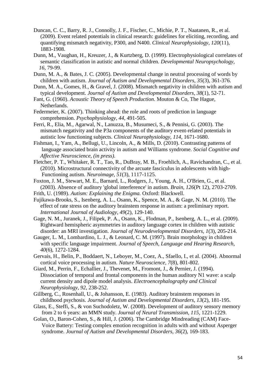- Duncan, C. C., Barry, R. J., Connolly, J. F., Fischer, C., Michie, P. T., Naatanen, R., et al. (2009). Event related potentials in clinical research: guidelines for eliciting, recording, and quantifying mismatch negativity, P300, and N400. *Clinical Neurophysiology, 120*(11), 1883-1908.
- Dunn, M., Vaughan, H., Kreuzer, J., & Kurtzberg, D. (1999). Electrophysiological correlates of semantic classification in autistic and normal children. *Developmental Neuropsychology, 16*, 79-99.
- Dunn, M. A., & Bates, J. C. (2005). Developmental change in neutral processing of words by children with autism. *Journal of Autism and Developmental Disorders, 35*(3), 361-376.
- Dunn, M. A., Gomes, H., & Gravel, J. (2008). Mismatch negativity in children with autism and typical development. *Journal of Autism and Developmental Disorders, 38*(1), 52-71.
- Fant, G. (1960). *Acoustic Theory of Speech Production*. Mouton & Co, The Hague, Netherlands.
- Federmeier, K. (2007). Thinking ahead: the role and roots of prediction in language comprehension. *Psychophysiology, 44*, 491-505.
- Ferri, R., Elia, M., Agarwal, N., Lanuzza, B., Musumeci, S., & Pennisi, G. (2003). The mismatch negativity and the P3a components of the auditory event-related potentials in autistic low functioning subjects. *Clinical Neurophysiology, 114*, 1671-1680.
- Fishman, I., Yam, A., Bellugi, U., Lincoln, A., & Mills, D. (2010). Contrasting patterns of language associated brain activity in autism and Williams syndrome. *Social Cognitive and Affective Neuroscience, (in press)*.
- Fletcher, P. T., Whitaker, R. T., Tao, R., DuBray, M. B., Froehlich, A., Ravichandran, C., et al. (2010). Microstructural connectivity of the arcuate fasciculus in adolescents with high- Functioning autism. *Neuroimage, 51*(3), 1117-1125.
- Foxton, J. M., Stewart, M. E., Barnard, L., Rodgers, J., Young, A. H., O'Brien, G., et al. (2003). Absence of auditory 'global interference' in autism. *Brain, 126*(Pt 12), 2703-2709.
- Frith, U. (1989). *Autism: Explaining the Enigma.* Oxford: Blackwell.
- Fujikawa-Brooks, S., Isenberg, A. L., Osann, K., Spence, M. A., & Gage, N. M. (2010). The effect of rate stress on the auditory brainstem response in autism: a preliminary report. *International Journal of Audiology, 49*(2), 129-140.
- Gage, N. M., Juranek, J., Filipek, P. A., Osann, K., Flodman, P., Isenberg, A. L., et al. (2009). Rightward hemispheric asymmetries in auditory language cortex in children with autistic disorder: an MRI investigation. *Journal of Neurodevelopmental Disorders, 1*(3), 205-214.
- Gauger, L. M., Lombardino, L. J., & Leonard, C. M. (1997). Brain morphology in children with specific language impairment. *Journal of Speech, Language and Hearing Research, 40*(6), 1272-1284.
- Gervais, H., Belin, P., Boddaert, N., Leboyer, M., Coez, A., Sfaello, I., et al. (2004). Abnormal cortical voice processing in autism. *Nature Neuroscience, 7*(8), 801-802.
- Giard, M., Perrin, F., Echallier, J., Thevenet, M., Fromont, J., & Pernier, J. (1994). Dissociation of temporal and frontal components in the human auditory N1 wave: a scalp current density and dipole model analysis. *Electroencephalography and Clinical Neurophysiology, 92*, 238-252.
- Gillberg, C., Rosenhall, U., & Johansson, E. (1983). Auditory brainstem responses in childhood psychosis. *Journal of Autism and Developmental Disorders, 13*(2), 181-195.
- Glass, E., Steffi, S., & von Suchodoletz, W. (2008). Development of auditory sensory memory from 2 to 6 years: an MMN study. *Journal of Neural Transmission, 115*, 1221-1229.
- Golan, O., Baron-Cohen, S., & Hill, J. (2006). The Cambridge Mindreading (CAM) Face- Voice Battery: Testing complex emotion recognition in adults with and without Asperger syndrome. *Journal of Autism and Developmental Disorders, 36*(2), 169-183.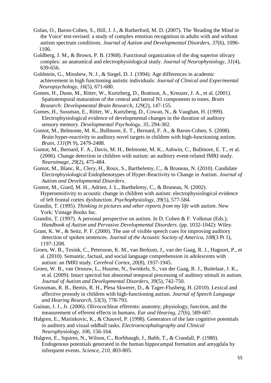- Golan, O., Baron-Cohen, S., Hill, J. J., & Rutherford, M. D. (2007). The 'Reading the Mind in the Voice' test-revised: a study of complex emotion recognition in adults with and without autism spectrum conditions. *Journal of Autism and Developmental Disorders, 37*(6), 1096- 1106.
- Goldberg, J. M., & Brown, P. B. (1968). Functional organization of the dog superior olivary complex: an anatomical and electrophysiological study. *Journal of Neurophysiology, 31*(4), 639-656.
- Goldstein, G., Minshew, N. J., & Siegel, D. J. (1994). Age differences in academic achievement in high functioning autistic individuals. *Journal of Clinical and Experimental Neuropsychology, 16*(5), 671-680.
- Gomes, H., Dunn, M., Ritter, W., Kurtzberg, D., Brattson, A., Kreuzer, J. A., et al. (2001). Spatiotemporal maturation of the central and lateral N1 components to tones. *Brain Research: Developmental Brain Research, 129*(2), 147-155.
- Gomes, H., Sussman, E., Ritter, W., Kurtzberg, D., Cowan, N., & Vaughan, H. (1999). Electrophysiological evidence of developmental changes in the duration of auditory sensory memory. *Developmental Psychology, 35*, 294-302.
- Gomot, M., Belmonte, M. K., Bullmore, E. T., Bernard, F. A., & Baron-Cohen, S. (2008). Brain hyper-reactivity to auditory novel targets in children with high-functioning autism. *Brain, 131*(Pt 9), 2479-2488.
- Gomot, M., Bernard, F. A., Davis, M. H., Belmonte, M. K., Ashwin, C., Bullmore, E. T., et al. (2006). Change detection in children with autism: an auditory event-related fMRI study. *Neuroimage, 29*(2), 475-484.
- Gomot, M., Blanc, R., Clery, H., Roux, S., Barthelemy, C., & Bruneau, N. (2010). Candidate Electrophysiological Endophenotypes of Hyper-Reactivity to Change in Autism. *Journal of Autism and Developmental Disorders*.
- Gomot, M., Giard, M. H., Adrien, J. L., Barthelemy, C., & Bruneau, N. (2002). Hypersensitivity to acoustic change in children with autism: electrophysiological evidence of left frontal cortex dysfunction. *Psychophysiology, 39*(5), 577-584.
- Grandin, T. (1995). *Thinking in pictures and other reports from my life with autism*. New York: Vintage Books Inc.
- Grandin, T. (1997). A personal perspective on autism. In D. Cohen & F. Volkmar (Eds.), *Handbook of Autism and Pervasive Developmental Disorders.* (pp. 1032-1042): Wiley.
- Grant, K. W., & Seitz, P. F. (2000). The use of visible speech cues for improving auditory detection of spoken sentences. *Journal of the Acoustic Society of America, 108*(3 Pt 1), 1197-1208.
- Groen, W. B., Tesink, C., Petersson, K. M., van Berkum, J., van der Gaag, R. J., Hagoort, P., et al. (2010). Semantic, factual, and social language comprehension in adolescents with autism: an fMRI study. *Cerebral Cortex, 20*(8), 1937-1945.
- Groen, W. B., van Orsouw, L., Huurne, N., Swinkels, S., van der Gaag, R. J., Buitelaar, J. K., et al. (2009). Intact spectral but abnormal temporal processing of auditory stimuli in autism. *Journal of Autism and Developmental Disorders, 39*(5), 742-750.
- Grossman, R. B., Bemis, R. H., Plesa Skwerer, D., & Tager-Flusberg, H. (2010). Lexical and affective prosody in children with high-functioning autism. *Journal of Speech Language and Hearing Research, 53*(3), 778-793.
- Guinan, J. J., Jr. (2006). Olivocochlear efferents: anatomy, physiology, function, and the measurement of efferent effects in humans. *Ear and Hearing, 27*(6), 589-607.
- Halgren, E., Marinkovic, K., & Chauvel, P. (1998). Generators of the late cognitive potentials in auditory and visual oddball tasks. *Electroencephalography and Clinical Neurophysiology, 106*, 156-164.
- Halgren, E., Squires, N., Wilson, C., Rorhbaugh, J., Babb, T., & Crandall, P. (1980). Endogenous potentials generated in the human hippocampal formation and amygdala by infrequent events. *Science, 210*, 803-805.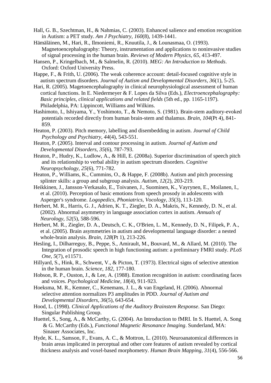- Hall, G. B., Szechtman, H., & Nahmias, C. (2003). Enhanced salience and emotion recognition in Autism: a PET study. *Am J Psychiatry, 160*(8), 1439-1441.
- Hämäläinen, M., Hari, R., Ilmoniemi, R., Knuutila, J., & Lounasmaa, O. (1993). Magnetoencephalography: Theory, instrumentation and applications to noninvasive studies of signal processing in the human brain. *Reviews of Modern Physics, 65*, 413-497.
- Hansen, P., Kringelbach, M., & Salmelin, R. (2010). *MEG: An Introduction to Methods*. Oxford: Oxford University Press.
- Happe, F., & Frith, U. (2006). The weak coherence account: detail-focused cognitive style in autism spectrum disorders. *Journal of Autism and Developmental Disorders, 36*(1), 5-25.
- Hari, R. (2005). Magetoencephalography in clinical neurophysiological assessment of human cortical functions. In E. Niedermeyer & F. Lopes da Silva (Eds.), *Electroencephalography: Basic principles, clinical applications and related fields* (5th ed., pp. 1165-1197). Philadelphia, PA: Lippincott, Williams and Wilkins.
- Hashimoto, I., Ishiyama, Y., Yoshimoto, T., & Nemoto, S. (1981). Brain-stem auditory-evoked potentials recorded directly from human brain-stem and thalamus. *Brain, 104*(Pt 4), 841- 859.
- Heaton, P. (2003). Pitch memory, labelling and disembedding in autism. *Journal of Child Psychology and Psychiatry, 44*(4), 543-551.
- Heaton, P. (2005). Interval and contour processing in autism. *Journal of Autism and Developmental Disorders, 35*(6), 787-793.
- Heaton, P., Hudry, K., Ludlow, A., & Hill, E. (2008a). Superior discrimination of speech pitch and its relationship to verbal ability in autism spectrum disorders. *Cognitive Neuropsychology, 25*(6), 771-782.
- Heaton, P., Williams, K., Cummins, O., & Happe, F. (2008b). Autism and pitch processing splinter skills: a group and subgroup analysis. *Autism, 12*(2), 203-219.
- Heikkinen, J., Jansson-Verkasalo, E., Toivanen, J., Suominen, K., Vayrynen, E., Moilanen, I., et al. (2010). Perception of basic emotions from speech prosody in adolescents with Asperger's syndrome. *Logopedics, Phoniatrics, Vocology, 35*(3), 113-120.
- Herbert, M. R., Harris, G. J., Adrien, K. T., Ziegler, D. A., Makris, N., Kennedy, D. N., et al. (2002). Abnormal asymmetry in language association cortex in autism. *Annuals of Neurology, 52*(5), 588-596.
- Herbert, M. R., Ziegler, D. A., Deutsch, C. K., O'Brien, L. M., Kennedy, D. N., Filipek, P. A., et al. (2005). Brain asymmetries in autism and developmental language disorder: a nested whole-brain analysis. *Brain, 128*(Pt 1), 213-226.
- Hesling, I., Dilharreguy, B., Peppe, S., Amirault, M., Bouvard, M., & Allard, M. (2010). The Integration of prosodic speech in high functioning autism: a preliminary FMRI study. *PLoS One, 5*(7), e11571.
- Hillyard, S., Hink, R., Schwent, V., & Picton, T. (1973). Electrical signs of selective attention in the human brain. *Science, 182*, 177-180.
- Hobson, R. P., Ouston, J., & Lee, A. (1988). Emotion recognition in autism: coordinating faces and voices. *Psychological Medicine, 18*(4), 911-923.
- Hoeksma, M. R., Kemner, C., Kenemans, J. L., & van Engeland, H. (2006). Abnormal selective attention normalizes P3 amplitudes in PDD. *Journal of Autism and Developmental Disorders, 36*(5), 643-654.
- Hood, L. (1998). *Clinical Applications of the Auditory Brainstem Response*. San Diego: Singular Publishing Group.
- Huettel, S., Song, A., & McCarthy, G. (2004). An Introduction to fMRI. In S. Huettel, A. Song & G. McCarthy (Eds.), *Functional Magnetic Resonance Imaging*. Sunderland, MA: Sinauer Associates, Inc.
- Hyde, K. L., Samson, F., Evans, A. C., & Mottron, L. (2010). Neuroanatomical differences in brain areas implicated in perceptual and other core features of autism revealed by cortical thickness analysis and voxel-based morphometry. *Human Brain Mapping, 31*(4), 556-566.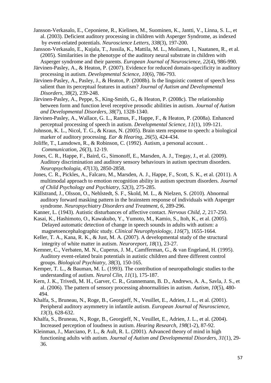- Jansson-Verkasalo, E., Ceponiene, R., Kielinen, M., Suominen, K., Jantti, V., Linna, S. L., et al. (2003). Deficient auditory processing in children with Asperger Syndrome, as indexed by event-related potentials. *Neuroscience Letters, 338*(3), 197-200.
- Jansson-Verkasalo, E., Kujala, T., Jussila, K., Mattila, M. L., Moilanen, I., Naatanen, R., et al. (2005). Similarities in the phenotype of the auditory neural substrate in children with Asperger syndrome and their parents. *European Journal of Neuroscience, 22*(4), 986-990.
- Järvinen-Pasley, A., & Heaton, P. (2007). Evidence for reduced domain-specificity in auditory processing in autism. *Developmental Science, 10*(6), 786-793.
- Järvinen-Pasley, A., Pasley, J., & Heaton, P. (2008b). Is the linguistic content of speech less salient than its perceptual features in autism? *Journal of Autism and Developmental Disorders, 38*(2), 239-248.
- Järvinen-Pasley, A., Peppe, S., King-Smith, G., & Heaton, P. (2008c). The relationship between form and function level receptive prosodic abilities in autism. *Journal of Autism and Developmental Disorders, 38*(7), 1328-1340.
- Järvinen-Pasley, A., Wallace, G. L., Ramus, F., Happe, F., & Heaton, P. (2008a). Enhanced perceptual processing of speech in autism. *Developmental Science, 11*(1), 109-121.
- Johnson, K. L., Nicol, T. G., & Kraus, N. (2005). Brain stem response to speech: a biological marker of auditory processing. *Ear & Hearing, 26*(5), 424-434.
- Joliffe, T., Lansdown, R., & Robinson, C. (1992). Autism, a personal account. . *Communication, 26*(3), 12-19.
- Jones, C. R., Happe, F., Baird, G., Simonoff, E., Marsden, A. J., Tregay, J., et al. (2009). Auditory discrimination and auditory sensory behaviours in autism spectrum disorders. *Neuropsychologia, 47*(13), 2850-2858.
- Jones, C. R., Pickles, A., Falcaro, M., Marsden, A. J., Happe, F., Scott, S. K., et al. (2011). A multimodal approach to emotion recognition ability in autism spectrum disorders. *Journal of Child Psychology and Psychiatry, 52*(3), 275-285.
- Källstrand, J., Olsson, O., Nehlstedt, S. F., Skold, M. L., & Nielzen, S. (2010). Abnormal auditory forward masking pattern in the brainstem response of individuals with Asperger syndrome. *Neuropsychiatry Disorders and Treatment, 6*, 289-296.
- Kanner, L. (1943). Autistic disturbances of affective contact. *Nervous Child, 2*, 217-250.
- Kasai, K., Hashimoto, O., Kawakubo, Y., Yumoto, M., Kamio, S., Itoh, K., et al. (2005). Delayed automatic detection of change in speech sounds in adults with autism: a magnetoencephalographic study. *Clinical Neurophysiology, 116*(7), 1655-1664.
- Keller, T. A., Kana, R. K., & Just, M. A. (2007). A developmental study of the structural integrity of white matter in autism. *Neuroreport, 18*(1), 23-27.
- Kemner, C., Verbaten, M. N., Cuperus, J. M., Camfferman, G., & van Engeland, H. (1995). Auditory event-related brain potentials in autistic children and three different control groups. *Biological Psychiatry, 38*(3), 150-165.
- Kemper, T. L., & Bauman, M. L. (1993). The contribution of neuropathologic studies to the understanding of autism. *Neurol Clin, 11*(1), 175-187.
- Kern, J. K., Trivedi, M. H., Garver, C. R., Grannemann, B. D., Andrews, A. A., Savla, J. S., et al. (2006). The pattern of sensory processing abnormalities in autism. *Autism, 10*(5), 480- 494.
- Khalfa, S., Bruneau, N., Roge, B., Georgieff, N., Veuillet, E., Adrien, J. L., et al. (2001). Peripheral auditory asymmetry in infantile autism. *European Journal of Neuroscience, 13*(3), 628-632.
- Khalfa, S., Bruneau, N., Roge, B., Georgieff, N., Veuillet, E., Adrien, J. L., et al. (2004). Increased perception of loudness in autism. *Hearing Research, 198*(1-2), 87-92.
- Kleinman, J., Marciano, P. L., & Ault, R. L. (2001). Advanced theory of mind in high functioning adults with autism. *Journal of Autism and Developmental Disorders, 31*(1), 29- 36.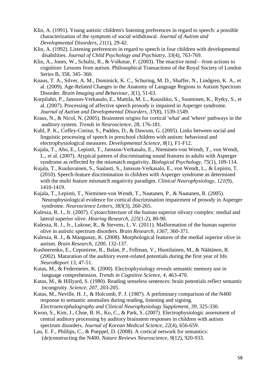- Klin, A. (1991). Young autistic children's listening preferences in regard to speech: a possible characterization of the symptom of social withdrawal. *Journal of Autism and Developmental Disorders, 21*(1), 29-42.
- Klin, A. (1992). Listening preferences in regard to speech in four children with developmental disabilities. *Journal of Child Psychology and Psychiatry, 33*(4), 763-769.
- Klin, A., Jones, W., Schultz, R., & Volkmar, F. (2003). The enactive mind—from actions to cognition: Lessons from autism. Philosophical Transactions of the Royal Society of London Series B, 358, 345–360.
- Knaus, T. A., Silver, A. M., Dominick, K. C., Schuring, M. D., Shaffer, N., Lindgren, K. A., et al. (2009). Age-Related Changes in the Anatomy of Language Regions in Autism Spectrum Disorder. *Brain Imaging and Behaviour, 3*(1), 51-63.
- Korpilahti, P., Jansson-Verkasalo, E., Mattila, M. L., Kuusikko, S., Suominen, K., Rytky, S., et al. (2007). Processing of affective speech prosody is impaired in Asperger syndrome. *Journal of Autism and Developmental Disorders, 37*(8), 1539-1549.
- Kraus, N., & Nicol, N. (2005). Brainstem origins for cortical 'what' and 'where' pathways in the auditory system. *Trends in Neuroscience, 28*, 176-181.
- Kuhl, P. K., Coffey-Corina, S., Padden, D., & Dawson, G. (2005). Links between social and linguistic processing of speech in preschool children with autism: behavioral and electrophysiological measures. *Developmental Science, 8*(1), F1-F12.
- Kujala, T., Aho, E., Lepistö, T., Jansson-Verkasalo, E., Nieminen-von Wendt, T., von Wendt, L., et al. (2007). Atypical pattern of discriminating sound features in adults with Asperger syndrome as reflected by the mismatch negativity. *Biological Psychology, 75*(1), 109-114.
- Kujala, T., Kuuluvainen, S., Saalasti, S., Jansson-Verkasalo, E., von Wendt, L., & Lepisto, T. (2010). Speech-feature discrimination in children with Asperger syndrome as determined with the multi feature mismatch negativity paradigm. *Clinical Neurophysiology, 121*(9), 1410-1419.
- Kujala, T., Lepistö, T., Nieminen-von Wendt, T., Naatanen, P., & Naatanen, R. (2005). Neurophysiological evidence for cortical discrimination impairment of prosody in Asperger syndrome. *Neuroscience Letters, 383*(3), 260-265.
- Kulesza, R. J., Jr. (2007). Cytoarchitecture of the human superior olivary complex: medial and lateral superior olive. *Hearing Research, 225*(1-2), 80-90.
- Kulesza, R. J., Jr., Lukose, R., & Stevens, L. V. (2011). Malformation of the human superior olive in autistic spectrum disorders. *Brain Research, 1367*, 360-371.
- Kulesza, R. J., & Mangunay, K. (2008). Morphological features of the medial superior olive in autism. *Brain Research, 1200*, 132-137.
- Kushnerenko, E., Ceponiene, R., Balan, P., Fellman, V., Huotilainen, M., & Näätänen, R. (2002). Maturation of the auditory event-related potentials during the first year of life. *NeuroReport 13*, 47-51.
- Kutas, M., & Federmeier, K. (2000). Electrophysiology reveals semantic memory use in language comprehension. *Trends in Cognitive Science, 4*, 463-470.
- Kutas, M., & Hillyard, S. (1980). Reading senseless sentences: brain potentials reflect semantic incongruity. *Science, 207*, 203-205.
- Kutas, M., Neville, H. J., & Holcomb, P. J. (1987). A preliminary comparison of the N400 response to semantic anomalies during reading, listening and signing. *Electroencephalography and Clinical Neurophysiology Supplement, 39*, 325-330.
- Kwon, S., Kim, J., Choe, B. H., Ko, C., & Park, S. (2007). Electrophysiologic assessment of central auditory processing by auditory brainstem responses in children with autism spectrum disorders. *Journal of Korean Medical Science, 22*(4), 656-659.
- Lau, E. F., Phillips, C., & Poeppel, D. (2008). A cortical network for semantics: (de)constructing the N400. *Nature Reviews Neuroscience, 9*(12), 920-933.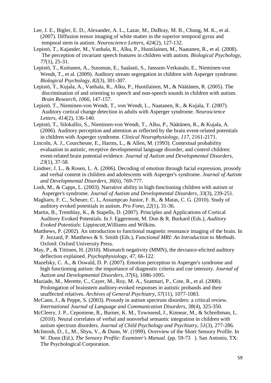- Lee, J. E., Bigler, E. D., Alexander, A. L., Lazar, M., DuBray, M. B., Chung, M. K., et al. (2007). Diffusion tensor imaging of white matter in the superior temporal gyrus and temporal stem in autism. *Neuroscience Letters, 424*(2), 127-132.
- Lepistö, T., Kajander, M., Vanhala, R., Alku, P., Huotilainen, M., Naatanen, R., et al. (2008). The perception of invariant speech features in children with autism. *Biological Psychology, 77*(1), 25-31.
- Lepistö, T., Kuitunen, A., Sussman, E., Saalasti, S., Jansson-Verkasalo, E., Nieminen-von Wendt, T., et al. (2009). Auditory stream segregation in children with Asperger syndrome. *Biological Psychology, 82*(3), 301-307.
- Lepistö, T., Kujala, A., Vanhala, R., Alku, P., Huotilainen, M., & Näätänen, R. (2005). The discrimination of and orienting to speech and non-speech sounds in children with autism. *Brain Research, 1066*, 147-157.
- Lepistö, T., Nieminen-von Wendt, T., von Wendt, L., Naatanen, R., & Kujala, T. (2007). Auditory cortical change detection in adults with Asperger syndrome. *Neuroscience Letters, 414*(2), 136-140.
- Lepistö, T., Silokallio, S., Nieminen-von Wendt, T., Alku, P., Näätänen, R., & Kujala, A. (2006). Auditory perception and attention as reflected by the brain event-related potentials in children with Asperger syndrome. *Clinical Neurophysiology, 117*, 2161-2171.
- Lincoln, A. J., Courchesne, E., Harms, L., & Allen, M. (1993). Contextual probability evaluation in autistic, receptive developmental language disorder, and control children: event-related brain potential evidence. *Journal of Autism and Developmental Disorders, 23*(1), 37-58.
- Lindner, J. L., & Rosen, L. A. (2006). Decoding of emotion through facial expression, prosody and verbal content in children and adolescents with Asperger's syndrome. *Journal of Autism and Developmental Disorders, 36*(6), 769-777.
- Losh, M., & Capps, L. (2003). Narrative ability in high-functioning children with autism or Asperger's syndrome. *Journal of Autism and Developmental Disorders, 33*(3), 239-251.
- Magliaro, F. C., Scheuer, C. I., Assumpcao Junior, F. B., & Matas, C. G. (2010). Study of auditory evoked potentials in autism. *Pro Fono, 22*(1), 31-36.
- Martin, B., Tremblay, K., & Stapells, D. (2007). Principles and Applications of Cortical Auditory Evoked Potentials. In J. Eggermont, M. Don & R. Burkard (Eds.), *Auditory Evoked Potentials*: Lippincott,Williams and Wilkins.
- Matthews, P. (2002). An introduction to functional magnetic resonance imaging of the brain. In P. Jezzard, P. Matthews & S. Smith (Eds.), *Functional MRI: An Introduction to Methods*. Oxford: Oxford University Press.
- May, P., & Tiitinen, H. (2010). Mismatch negativity (MMN), the deviance-elicited auditory deflection explained. *Psychophysiology, 47*, 66-122.
- Mazefsky, C. A., & Oswald, D. P. (2007). Emotion perception in Asperger's syndrome and high functioning autism: the importance of diagnostic criteria and cue intensity. *Journal of Autism and Developmental Disorders, 37*(6), 1086-1095.
- Maziade, M., Merette, C., Cayer, M., Roy, M. A., Szatmari, P., Cote, R., et al. (2000). Prolongation of brainstem auditory-evoked responses in autistic probands and their unaffected relatives. *Archives of General Psychiatry, 57*(11), 1077-1083.
- McCann, J., & Peppe, S. (2003). Prosody in autism spectrum disorders: a critical review. *International Journal of Language and Communication Disorders, 38*(4), 325-350.
- McCleery, J. P., Ceponiene, R., Burner, K. M., Townsend, J., Kinnear, M., & Schreibman, L. (2010). Neural correlates of verbal and nonverbal semantic integration in children with autism spectrum disorders. *Journal of Child Psychology and Psychiatry, 51*(3), 277-286.
- McIntosh, D., L, M., Shyu, V., & Dunn, W. (1999). Overview of the Short Sensory Profile. In W. Dunn (Ed.), *The Sensory Profile: Examiner's Manual.* (pp. 59-73 ). San Antonio, TX: The Psychological Corporation.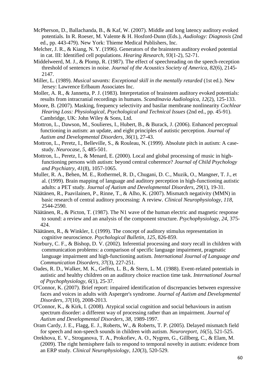- McPherson, D., Ballachanda, B., & Kaf, W. (2007). Middle and long latency auditory evoked potentials. In R. Roeser, M. Valente & H. Hosford-Dunn (Eds.), *Audiology: Diagnosis* (2nd ed., pp. 443-479). New York: Thieme Medical Publishers, Inc.
- Melcher, J. R., & Kiang, N. Y. (1996). Generators of the brainstem auditory evoked potential in cat. III: Identified cell populations. *Hearing Research, 93*(1-2), 52-71.
- Middelweerd, M. J., & Plomp, R. (1987). The effect of speechreading on the speech-reception threshold of sentences in noise. *Journal of the Acoustics Society of America, 82*(6), 2145- 2147.
- Miller, L. (1989). *Musical savants: Exceptional skill in the mentally retarded* (1st ed.). New Jersey: Lawrence Erlbaum Associates Inc.
- Moller, A. R., & Jannetta, P. J. (1983). Interpretation of brainstem auditory evoked potentials: results from intracranial recordings in humans. *Scandinavia Audiologica, 12*(2), 125-133.
- Moore, B. (2007). Masking, frequency selectivity and basilar membrane nonlinearity *Cochlear Hearing Loss: Physiological, Psychological and Technical Issues* (2nd ed., pp. 45-91). Cambridge, UK: John Wiley & Sons, Ltd.
- Mottron, L., Dawson, M., Soulieres, I., Hubert, B., & Burack, J. (2006). Enhanced perceptual functioning in autism: an update, and eight principles of autistic perception. *Journal of Autism and Developmental Disorders, 36*(1), 27-43.
- Mottron, L., Peretz, I., Belleville, S., & Rouleau, N. (1999). Absolute pitch in autism: A case study. *Neurocase, 5*, 485-501.
- Mottron, L., Peretz, I., & Menard, E. (2000). Local and global processing of music in high functioning persons with autism: beyond central coherence? *Journal of Child Psychology and Psychiatry, 41*(8), 1057-1065.
- Muller, R. A., Behen, M. E., Rothermel, R. D., Chugani, D. C., Muzik, O., Mangner, T. J., et al. (1999). Brain mapping of language and auditory perception in high-functioning autistic adults: a PET study. *Journal of Autism and Developmental Disorders, 29*(1), 19-31.
- Näätänen, R., Paavilainen, P., Rinne, T., & Alho, K. (2007). Mismatch negativity (MMN) in basic research of central auditory processing: A review. *Clinical Neurophysiology, 118*, 2544-2590.
- Näätänen, R., & Picton, T. (1987). The N1 wave of the human electric and magnetic response to sound: a review and an analysis of the component structure. *Psychophysiology, 24*, 375- 424.
- Näätänen, R., & Winkler, I. (1999). The concept of auditory stimulus representation in cognitive neuroscience. *Psychological Bulletin, 125*, 826-859.
- Norbury, C. F., & Bishop, D. V. (2002). Inferential processing and story recall in children with communication problems: a comparison of specific language impairment, pragmatic language impairment and high-functioning autism. *International Journal of Language and Communication Disorders, 37*(3), 227-251.
- Oades, R. D., Walker, M. K., Geffen, L. B., & Stern, L. M. (1988). Event-related potentials in autistic and healthy children on an auditory choice reaction time task. *International Journal of Psychophysiology, 6*(1), 25-37.
- O'Connor, K. (2007). Brief report: impaired identification of discrepancies between expressive faces and voices in adults with Asperger's syndrome. *Journal of Autism and Developmental Disorders, 37*(10), 2008-2013.
- O'Connor, K., & Kirk, I. (2008). Atypical social cognition and social behaviours in autism spectrum disorder: a different way of processing rather than an impairment. *Journal of Autism and Developmental Disorders, 38*, 1989-1997.
- Oram Cardy, J. E., Flagg, E. J., Roberts, W., & Roberts, T. P. (2005). Delayed mismatch field for speech and non-speech sounds in children with autism. *Neuroreport, 16*(5), 521-525.
- Orekhova, E. V., Stroganova, T. A., Prokofiev, A. O., Nygren, G., Gillberg, C., & Elam, M. (2009). The right hemisphere fails to respond to temporal novelty in autism: evidence from an ERP study. *Clinical Neurophysiology, 120*(3), 520-529.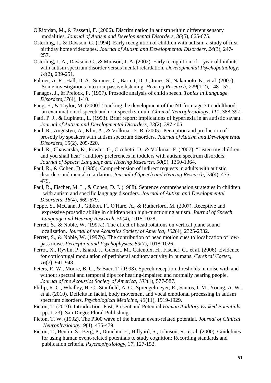- O'Riordan, M., & Passetti, F. (2006). Discrimination in autism within different sensory modalities. *Journal of Autism and Developmental Disorders, 36*(5), 665-675.
- Osterling, J., & Dawson, G. (1994). Early recognition of children with autism: a study of first birthday home videotapes. *Journal of Autism and Developmental Disorders, 24*(3), 247- 257.
- Osterling, J. A., Dawson, G., & Munson, J. A. (2002). Early recognition of 1-year-old infants with autism spectrum disorder versus mental retardation. *Developmental Psychopathology, 14*(2), 239-251.
- Palmer, A. R., Hall, D. A., Sumner, C., Barrett, D. J., Jones, S., Nakamoto, K., et al. (2007). Some investigations into non-passive listening. *Hearing Research, 229*(1-2), 148-157.
- Panagos, J., & Prelock, P. (1997). Prosodic analysis of child speech. *Topics in Language Disorders,17*(4), 1-10.
- Pang, E., & Taylor, M. (2000). Tracking the development of the N1 from age 3 to adulthood: an examination of speech and non-speech stimuli. *Clinical Neurophysiology, 111*, 388-397.
- Patti, P. J., & Lupinetti, L. (1993). Brief report: implications of hyperlexia in an autistic savant. *Journal of Autism and Developmental Disorders, 23*(2), 397-405.
- Paul, R., Augustyn, A., Klin, A., & Volkmar, F. R. (2005). Perception and production of prosody by speakers with autism spectrum disorders. *Journal of Autism and Developmental Disorders, 35*(2), 205-220.
- Paul, R., Chawarska, K., Fowler, C., Cicchetti, D., & Volkmar, F. (2007). "Listen my children and you shall hear": auditory preferences in toddlers with autism spectrum disorders. *Journal of Speech Language and Hearing Research, 50*(5), 1350-1364.
- Paul, R., & Cohen, D. (1985). Comprehension of indirect requests in adults with autistic disorders and mental retardation. *Journal of Speech and Hearing Research, 28*(4), 475- 479.
- Paul, R., Fischer, M. L., & Cohen, D. J. (1988). Sentence comprehension strategies in children with autism and specific language disorders. *Journal of Autism and Developmental Disorders, 18*(4), 669-679.
- Peppe, S., McCann, J., Gibbon, F., O'Hare, A., & Rutherford, M. (2007). Receptive and expressive prosodic ability in children with high-functioning autism. *Journal of Speech Language and Hearing Research, 50*(4), 1015-1028.
- Perrett, S., & Noble, W. (1997a). The effect of head rotations on vertical plane sound localization. *Journal of the Acoustics Society of America, 102*(4), 2325-2332.
- Perrett, S., & Noble, W. (1997b). The contribution of head motion cues to localization of low pass noise. *Perception and Psychophysics, 59*(7), 1018-1026.
- Perrot, X., Ryvlin, P., Isnard, J., Guenot, M., Catenoix, H., Fischer, C., et al. (2006). Evidence for corticofugal modulation of peripheral auditory activity in humans. *Cerebral Cortex, 16*(7), 941-948.
- Peters, R. W., Moore, B. C., & Baer, T. (1998). Speech reception thresholds in noise with and without spectral and temporal dips for hearing-impaired and normally hearing people. *Journal of the Acoustics Society of America, 103*(1), 577-587.
- Philip, R. C., Whalley, H. C., Stanfield, A. C., Sprengelmeyer, R., Santos, I. M., Young, A. W., et al. (2010). Deficits in facial, body movement and vocal emotional processing in autism spectrum disorders. *Psychological Medicine, 40*(11), 1919-1929.
- Picton, T. (2010). Introduction: Past, Present and Potential *Human Auditory Evoked Potentials* (pp. 1-23). San Diego: Plural Publishing.
- Picton, T. W. (1992). The P300 wave of the human event-related potential. *Journal of Clinical Neurophysiology, 9*(4), 456-479.
- Picton, T., Bentin, S., Berg, P., Donchin, E., Hillyard, S., Johnson, R., et al. (2000). Guidelines for using human event-related potentials to study cognition: Recording standards and publication criteria. *Psychophysiology, 37*, 127-152.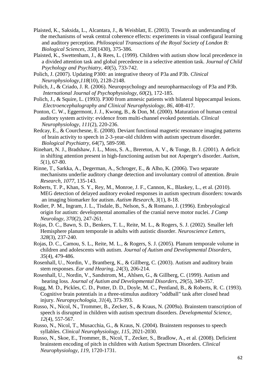- Plaisted, K., Saksida, L., Alcantara, J., & Weisblatt, E. (2003). Towards an understanding of the mechanisms of weak central coherence effects: experiments in visual configural learning and auditory perception. *Philosopical Transactions of the Royal Society of London B: Biological Sciences, 358*(1430), 375-386.
- Plaisted, K., Swettenham, J., & Rees, L. (1999). Children with autism show local precedence in a divided attention task and global precedence in a selective attention task. *Journal of Child Psychology and Psychiatry, 40*(5), 733-742.
- Polich, J. (2007). Updating P300: an integrative theory of P3a and P3b. *Clinical Neurophysiology,118*(10), 2128-2148.
- Polich, J., & Criado, J. R. (2006). Neuropsychology and neuropharmacology of P3a and P3b. *International Journal of Psychophysiology, 60*(2), 172-185.
- Polich, J., & Squire, L. (1993). P300 from amnesic patients with bilateral hippocampal lesions. *Electroencephalography and Clinical Neurophysiology, 86*, 408-417.
- Ponton, C. W., Eggermont, J. J., Kwong, B., & Don, M. (2000). Maturation of human central auditory system activity: evidence from multi-channel evoked potentials. *Clinical Neurophysiology, 111*(2), 220-236.
- Redcay, E., & Courchesne, E. (2008). Deviant functional magnetic resonance imaging patterns of brain activity to speech in 2-3-year-old children with autism spectrum disorder. *Biological Psychiatry, 64*(7), 589-598.
- Rinehart, N. J., Bradshaw, J. L., Moss, S. A., Brereton, A. V., & Tonge, B. J. (2001). A deficit in shifting attention present in high-functioning autism but not Asperger's disorder. *Autism, 5*(1), 67-80.
- Rinne, T., Sarkka, A., Degerman, A., Schroger, E., & Alho, K. (2006). Two separate mechanisms underlie auditory change detection and involuntary control of attention. *Brain Research, 1077*, 135-143.
- Roberts, T. P., Khan, S. Y., Rey, M., Monroe, J. F., Cannon, K., Blaskey, L., et al. (2010). MEG detection of delayed auditory evoked responses in autism spectrum disorders: towards an imaging biomarker for autism. *Autism Research, 3*(1), 8-18.
- Rodier, P. M., Ingram, J. L., Tisdale, B., Nelson, S., & Romano, J. (1996). Embryological origin for autism: developmental anomalies of the cranial nerve motor nuclei. *J Comp Neurology, 370*(2), 247-261.
- Rojas, D. C., Bawn, S. D., Benkers, T. L., Reite, M. L., & Rogers, S. J. (2002). Smaller left Hemisphere planum temporale in adults with autistic disorder. *Neuroscience Letters, 328*(3), 237-240.
- Rojas, D. C., Camou, S. L., Reite, M. L., & Rogers, S. J. (2005). Planum temporale volume in children and adolescents with autism. *Journal of Autism and Developmental Disorders, 35*(4), 479-486.
- Rosenhall, U., Nordin, V., Brantberg, K., & Gillberg, C. (2003). Autism and auditory brain stem responses. *Ear and Hearing, 24*(3), 206-214.
- Rosenhall, U., Nordin, V., Sandstrom, M., Ahlsen, G., & Gillberg, C. (1999). Autism and hearing loss. *Journal of Autism and Developmental Disorders, 29*(5), 349-357.
- Rugg, M. D., Pickles, C. D., Potter, D. D., Doyle, M. C., Pentland, B., & Roberts, R. C. (1993). Cognitive brain potentials in a three-stimulus auditory "oddball" task after closed head injury. *Neuropsychologia, 31*(4), 373-393.
- Russo, N., Nicol, N., Trommer, B., Zecker, S., & Kraus, N. (2009a). Brainstem transcription of speech is disrupted in children with autism spectrum disorders. *Developmental Science, 12*(4), 557-567.
- Russo, N., Nicol, T., Musacchia, G., & Kraus, N. (2004). Brainstem responses to speech syllables. *Clinical Neurophysiology, 115*, 2021-2030.
- Russo, N., Skoe, E., Trommer, B., Nicol, T., Zecker, S., Bradlow, A., et al. (2008). Deficient brainstem encoding of pitch in children with Autism Spectrum Disorders. *Clinical Neurophysiology, 119*, 1720-1731.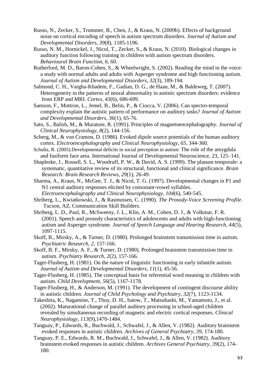- Russo, N., Zecker, S., Trommer, B., Chen, J., & Kraus, N. (2009b). Effects of background noise on cortical encoding of speech in autism spectrum disorders. *Journal of Autism and Developmental Disorders, 39*(8), 1185-1196.
- Russo, N. M., Hornickel, J., Nicol, T., Zecker, S., & Kraus, N. (2010). Biological changes in auditory function following training in children with autism spectrum disorders. *Behavioural Brain Function, 6*, 60.
- Rutherford, M. D., Baron-Cohen, S., & Wheelwright, S. (2002). Reading the mind in the voice: a study with normal adults and adults with Asperger syndrome and high functioning autism. *Journal of Autism and Developmental Disorders, 32*(3), 189-194.
- Salmond, C. H., Vargha-Khadem, F., Gadian, D. G., de Haan, M., & Baldeweg, T. (2007). Heterogeneity in the patterns of neural abnormality in autistic spectrum disorders: evidence from ERP and MRI. *Cortex, 43*(6), 686-699.
- Samson, F., Mottron, L., Jemel, B., Belin, P., & Ciocca, V. (2006). Can spectro-temporal complexity explain the autistic pattern of performance on auditory tasks? *Journal of Autism and Developmental Disorders, 36*(1), 65-76.
- Sato, S., Balish, M., & Muratore, R. (1991). Principles of magnetoencephalography. *Journal of Clinical Neurophysiology, 8*(2), 144-156.
- Scherg, M., & von Cramon, D. (1986). Evoked dipole source potentials of the human auditory cortex. *Electroencephalography and Clinical Neurophysiology, 65*, 344-360.
- Schultz, R. (2005).Developmental deficits in social perception in autism: The role of the amygdala and fusiform face area. International Journal of Developmental Neuroscience, 23, 125–141.
- Shapleske, J., Rossell, S. L., Woodruff, P. W., & David, A. S. (1999). The planum temporale: a systematic, quantitative review of its structural, functional and clinical significance. *Brain Research: Brain Research Reviews, 29*(1), 26-49.
- Sharma, A., Kraus, N., McGee, T. J., & Nicol, T. G. (1997). Developmental changes in P1 and N1 central auditory responses elicited by consonant-vowel syllables. *Electroencephalography and Clinical Neurophysiology, 104*(6), 540-545.
- Shriberg, L., Kwiatkowski, J., & Rasmussen, C. (1990). *The Prosody-Voice Screening Profile.*  Tucson, AZ, Communication Skill Builders.
- Shriberg, L. D., Paul, R., McSweeny, J. L., Klin, A. M., Cohen, D. J., & Volkmar, F. R. (2001). Speech and prosody characteristics of adolescents and adults with high-functioning autism and Asperger syndrome. *Journal of Speech Language and Hearing Research, 44*(5), 1097-1115.
- Skoff, B., Mirsky, A., & Turner, D. (1980). Prolonged brainstem transmission time in autism. *Psychiatric Research, 2*, 157-166.
- Skoff, B. F., Mirsky, A. F., & Turner, D. (1980). Prolonged brainstem transmission time in autism. *Psychiatry Research, 2*(2), 157-166.
- Tager-Flusberg, H. (1981). On the nature of linguistic functioning in early infantile autism. *Journal of Autism and Developmental Disorders, 11*(1), 45-56.
- Tager-Flusberg, H. (1985). The conceptual basis for referential word meaning in children with autism. *Child Development, 56*(5), 1167-1178.
- Tager-Flusberg, H., & Anderson, M. (1991). The development of contingent discourse ability in autistic children. *Journal of Child Psychology and Psychiatry, 32*(7), 1123-1134.
- Takeshita, K., Nagamine, T., Thuy, D. H., Satow, T., Matsuhashi, M., Yamamoto, J., et al. (2002). Maturational change of parallel auditory processing in school-aged children revealed by simultaneous recording of magnetic and electric cortical responses. *Clinical Neurophysiology, 113*(9),1470-1484.
- Tanguay, P., Edwards, R., Buchwald, J., Schwafel, J., & Allen, V. (1982). Auditory brainstem evoked responses in autistic children. *Archives of General Psychiatry, 39*, 174-180.
- Tanguay, P. E., Edwards, R. M., Buchwald, J., Schwafel, J., & Allen, V. (1982). Auditory brainstem evoked responses in autistic children. *Archives General Psychiatry, 39*(2), 174- 180.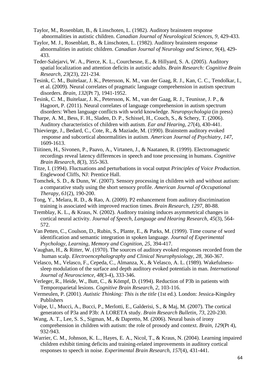- Taylor, M., Rosenblatt, B., & Linschoten, L. (1982). Auditory brainstem response abnormalities in autistic children. *Canadian Journal of Neurological Sciences, 9*, 429-433.
- Taylor, M. J., Rosenblatt, B., & Linschoten, L. (1982). Auditory brainstem response abnormalities in autistic children. *Canadian Journal of Neurology and Science, 9*(4), 429- 433.
- Teder-Salejarvi, W. A., Pierce, K. L., Courchesne, E., & Hillyard, S. A. (2005). Auditory spatial localization and attention deficits in autistic adults. *Brain Research: Cognitive Brain Research, 23*(23), 221-234.
- Tesink, C. M., Buitelaar, J. K., Petersson, K. M., van der Gaag, R. J., Kan, C. C., Tendolkar, I., et al. (2009). Neural correlates of pragmatic language comprehension in autism spectrum disorders. *Brain, 132*(Pt 7), 1941-1952.
- Tesink, C. M., Buitelaar, J. K., Petersson, K. M., van der Gaag, R. J., Teunisse, J. P., & Hagoort, P. (2011). Neural correlates of language comprehension in autism spectrum disorders: When language conflicts with world knowledge. *Neuropsychologia* (in press)
- Tharpe, A. M., Bess, F. H., Sladen, D. P., Schissel, H., Couch, S., & Schery, T. (2006). Auditory characteristics of children with autism. *Ear and Hearing, 27*(4), 430-441.
- Thievierge, J., Bedard, C., Cote, R., & Maziade, M. (1990). Brainstem auditory evoked response and subcortical abnormalities in autism. *American Journal of Psychiatry, 147*, 1609-1613.
- Tiitinen, H., Sivonen, P., Paavo, A., Virtanen, J., & Naatanen, R. (1999). Electromagnetic recordings reveal latency differences in speech and tone processing in humans. *Cognitive Brain Research, 8*(3), 355-363.
- Titze, I. (1994). Fluctuations and perturbations in vocal output *Principles of Voice Production*. Englewood Cliffs, NJ: Prentice Hall.
- Tomchek, S. D., & Dunn, W. (2007). Sensory processing in children with and without autism: a comparative study using the short sensory profile. *American Journal of Occupational Therapy, 61*(2), 190-200.
- Tong, Y., Melara, R. D., & Rao, A. (2009). P2 enhancement from auditory discrimination training is associated with improved reaction times. *Brain Research, 1297*, 80-88.
- Tremblay, K. L., & Kraus, N. (2002). Auditory training induces asymmetrical changes in cortical neural activity. *Journal of Speech, Language and Hearing Research, 45*(3), 564- 572.
- Van Petten, C., Coulson, D., Rubin, S., Plante, E., & Parks, M. (1999). Time course of word identification and semantic integration in spoken language. *Journal of Experimental Psychology, Learning, Memory and Cognition, 25*, 394-417.
- Vaughan, H., & Ritter, W. (1970). The sources of auditory evoked responses recorded from the human scalp. *Electroencephalography and Clinical Neurophysiology, 28*, 360-367.
- Velasco, M., Velasco, F., Cepeda, C., Almanza, X., & Velasco, A. L. (1989). Wakefulness sleep modulation of the surface and depth auditory evoked potentials in man. *International Journal of Neuroscience, 48*(3-4), 333-346.
- Verleger, R., Heide, W., Butt, C., & Kömpf, D. (1994). Reduction of P3b in patients with Temporoparietal lesions. *Cognitive Brain Research, 2*, 103-116.
- Vermeulen, P. (2001). *Autistic Thinking: This is the title* (1st ed.). London: Jessica-Kingsley Publishers
- Volpe, U., Mucci, A., Bucci, P., Merlotti, E., Galderisi, S., & Maj, M. (2007). The cortical generators of P3a and P3b: A LORETA study. *Brain Research Bulletin, 73*, 220-230.
- Wang, A. T., Lee, S. S., Sigman, M., & Dapretto, M. (2006). Neural basis of irony comprehension in children with autism: the role of prosody and context. *Brain, 129*(Pt 4), 932-943.
- Warrier, C. M., Johnson, K. L., Hayes, E. A., Nicol, T., & Kraus, N. (2004). Learning impaired children exhibit timing deficits and training-related improvements in auditory cortical responses to speech in noise. *Experimental Brain Research, 157*(4), 431-441.